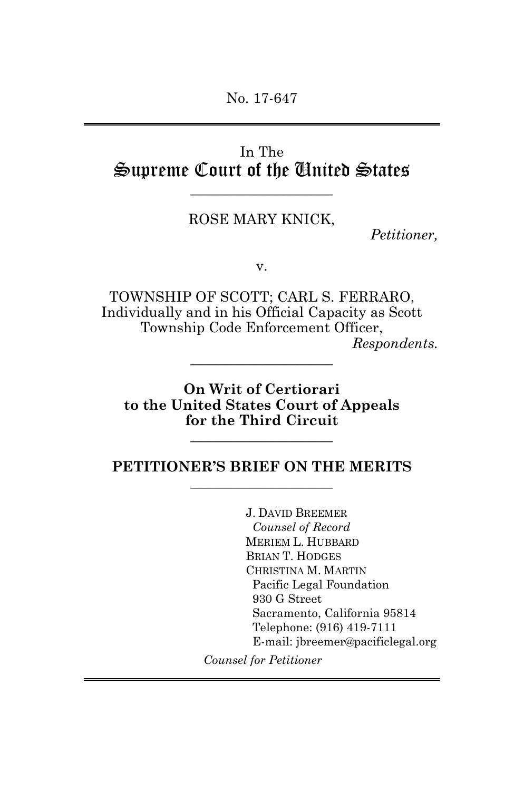No. 17-647

# In The Supreme Court of the United States  $\_$

### ROSE MARY KNICK,

*Petitioner,* 

v.

TOWNSHIP OF SCOTT; CARL S. FERRARO, Individually and in his Official Capacity as Scott Township Code Enforcement Officer, *Respondents.* 

**On Writ of Certiorari to the United States Court of Appeals for the Third Circuit**

 $\_$ 

 $\_$ 

#### **PETITIONER'S BRIEF ON THE MERITS**  $\_$

J. DAVID BREEMER *Counsel of Record*  MERIEM L. HUBBARD BRIAN T. HODGES CHRISTINA M. MARTIN Pacific Legal Foundation 930 G Street Sacramento, California 95814 Telephone: (916) 419-7111 E-mail: jbreemer@pacificlegal.org

*Counsel for Petitioner*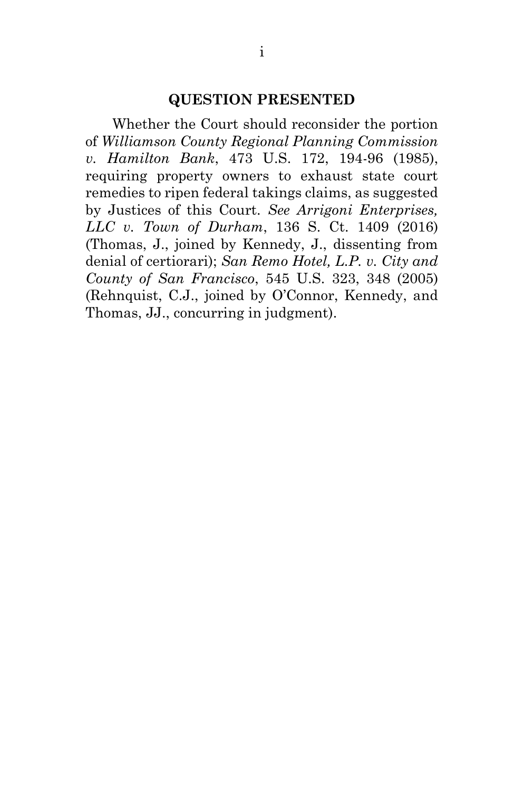#### **QUESTION PRESENTED**

Whether the Court should reconsider the portion of *Williamson County Regional Planning Commission v. Hamilton Bank*, 473 U.S. 172, 194-96 (1985), requiring property owners to exhaust state court remedies to ripen federal takings claims, as suggested by Justices of this Court. *See Arrigoni Enterprises, LLC v. Town of Durham*, 136 S. Ct. 1409 (2016) (Thomas, J., joined by Kennedy, J., dissenting from denial of certiorari); *San Remo Hotel, L.P. v. City and County of San Francisco*, 545 U.S. 323, 348 (2005) (Rehnquist, C.J., joined by O'Connor, Kennedy, and Thomas, JJ., concurring in judgment).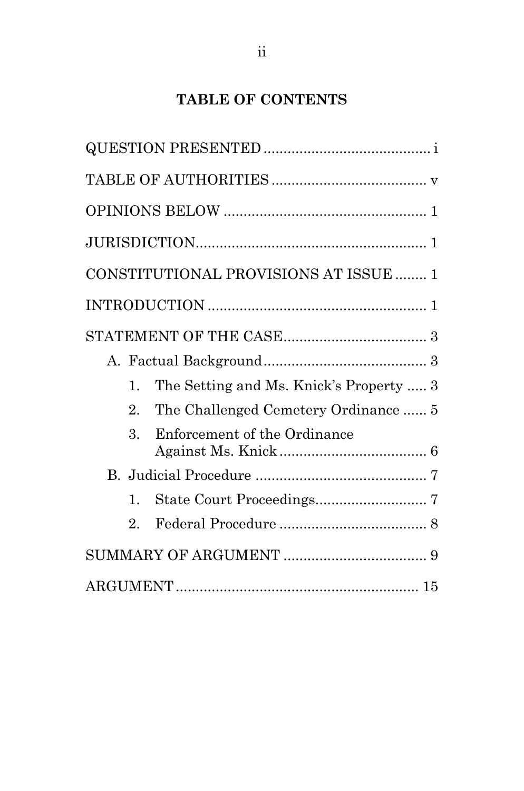# **TABLE OF CONTENTS**

|                  | CONSTITUTIONAL PROVISIONS AT ISSUE  1   |
|------------------|-----------------------------------------|
|                  |                                         |
|                  |                                         |
|                  |                                         |
| 1.               | The Setting and Ms. Knick's Property  3 |
| $\mathfrak{D}^-$ | The Challenged Cemetery Ordinance  5    |
| 3.               | Enforcement of the Ordinance            |
|                  |                                         |
| $\mathbf{1}$     |                                         |
| $\overline{2}$   |                                         |
|                  |                                         |
|                  |                                         |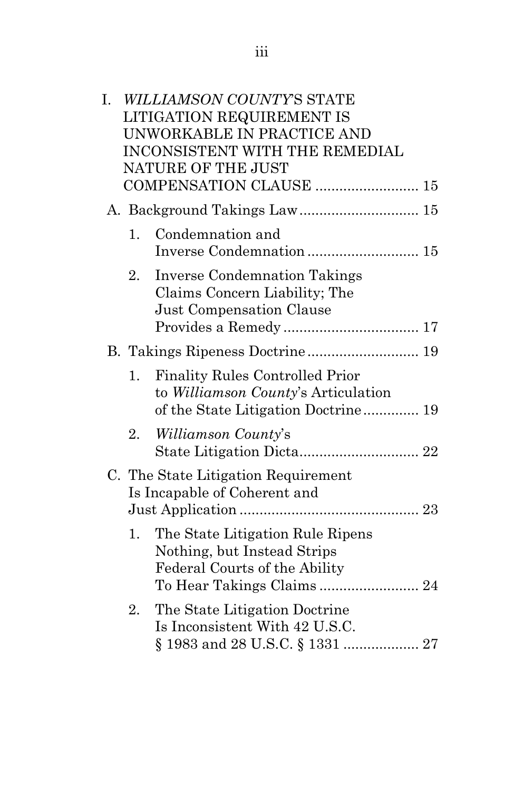| I.             | <b>WILLIAMSON COUNTY'S STATE</b><br><b>LITIGATION REQUIREMENT IS</b><br>UNWORKABLE IN PRACTICE AND<br>INCONSISTENT WITH THE REMEDIAL<br>NATURE OF THE JUST<br>COMPENSATION CLAUSE  15 |
|----------------|---------------------------------------------------------------------------------------------------------------------------------------------------------------------------------------|
|                | A. Background Takings Law 15                                                                                                                                                          |
| $\mathbf{1}$ . | Condemnation and                                                                                                                                                                      |
| 2.             | <b>Inverse Condemnation Takings</b><br>Claims Concern Liability; The<br>Just Compensation Clause                                                                                      |
|                | B. Takings Ripeness Doctrine 19                                                                                                                                                       |
| 1.             | <b>Finality Rules Controlled Prior</b><br>to <i>Williamson County's</i> Articulation<br>of the State Litigation Doctrine 19                                                           |
| 2.             | <i>Williamson County's</i>                                                                                                                                                            |
|                | C. The State Litigation Requirement<br>Is Incapable of Coherent and                                                                                                                   |
| 1.             | The State Litigation Rule Ripens<br>Nothing, but Instead Strips<br>Federal Courts of the Ability                                                                                      |
| 2.             | The State Litigation Doctrine<br>Is Inconsistent With 42 U.S.C.                                                                                                                       |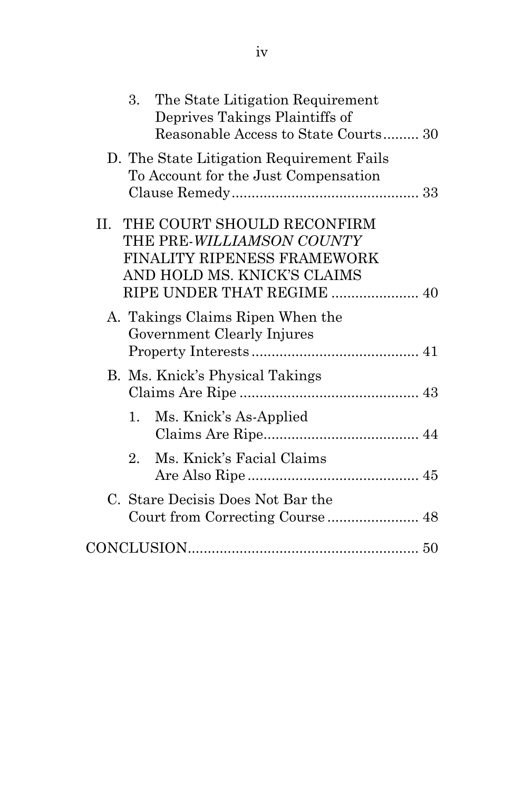| D. The State Litigation Requirement Fails<br>To Account for the Just Compensation<br>THE COURT SHOULD RECONFIRM<br>H.<br>THE PRE-WILLIAMSON COUNTY<br>FINALITY RIPENESS FRAMEWORK<br>AND HOLD MS. KNICK'S CLAIMS<br>RIPE UNDER THAT REGIME  40<br>A. Takings Claims Ripen When the<br>Government Clearly Injures<br>B. Ms. Knick's Physical Takings |  |
|-----------------------------------------------------------------------------------------------------------------------------------------------------------------------------------------------------------------------------------------------------------------------------------------------------------------------------------------------------|--|
|                                                                                                                                                                                                                                                                                                                                                     |  |
|                                                                                                                                                                                                                                                                                                                                                     |  |
|                                                                                                                                                                                                                                                                                                                                                     |  |
|                                                                                                                                                                                                                                                                                                                                                     |  |
| Ms. Knick's As-Applied<br>1.                                                                                                                                                                                                                                                                                                                        |  |
| Ms. Knick's Facial Claims<br>$2^{\circ}$                                                                                                                                                                                                                                                                                                            |  |
| C. Stare Decisis Does Not Bar the<br>Court from Correcting Course 48                                                                                                                                                                                                                                                                                |  |
|                                                                                                                                                                                                                                                                                                                                                     |  |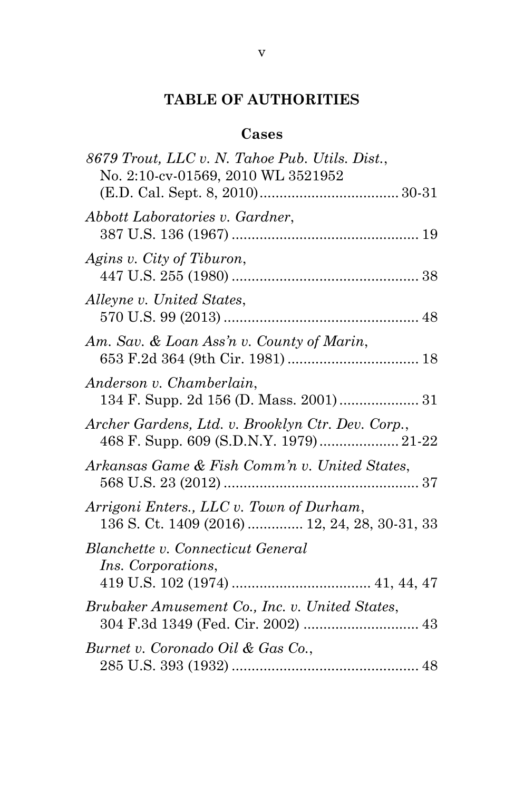# **TABLE OF AUTHORITIES**

## **Cases**

| 8679 Trout, LLC v. N. Tahoe Pub. Utils. Dist.,<br>No. 2:10-cv-01569, 2010 WL 3521952      |
|-------------------------------------------------------------------------------------------|
|                                                                                           |
| Abbott Laboratories v. Gardner,                                                           |
| Agins v. City of Tiburon,                                                                 |
| Alleyne v. United States,                                                                 |
| Am. Sav. & Loan Ass'n v. County of Marin,                                                 |
| Anderson v. Chamberlain,                                                                  |
| Archer Gardens, Ltd. v. Brooklyn Ctr. Dev. Corp.,                                         |
| Arkansas Game & Fish Comm'n v. United States,                                             |
| Arrigoni Enters., LLC v. Town of Durham,<br>136 S. Ct. 1409 (2016)  12, 24, 28, 30-31, 33 |
| Blanchette v. Connecticut General<br><i>Ins.</i> Corporations,                            |
| Brubaker Amusement Co., Inc. v. United States,<br>304 F.3d 1349 (Fed. Cir. 2002)  43      |
| Burnet v. Coronado Oil & Gas Co.,                                                         |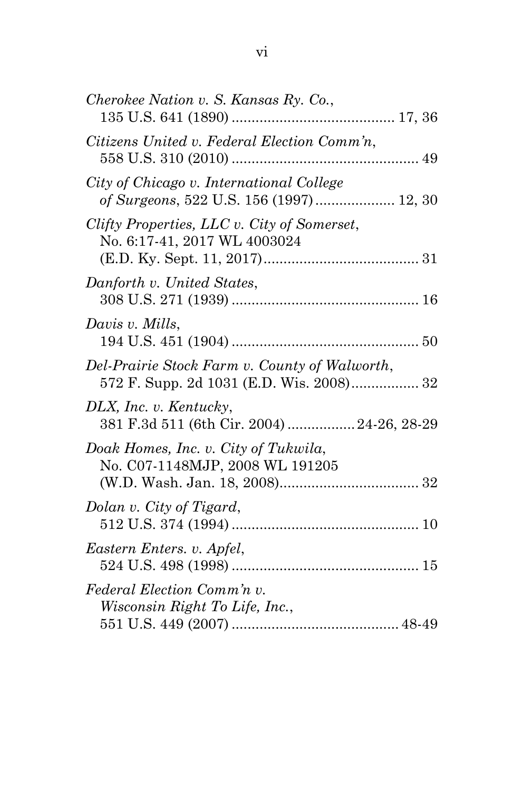| Cherokee Nation v. S. Kansas Ry. Co.,                                                     |
|-------------------------------------------------------------------------------------------|
| Citizens United v. Federal Election Comm'n,                                               |
| City of Chicago v. International College<br>of Surgeons, 522 U.S. 156 (1997)  12, 30      |
| Clifty Properties, LLC v. City of Somerset,<br>No. 6:17-41, 2017 WL 4003024               |
| Danforth v. United States,                                                                |
| Davis v. Mills,                                                                           |
| Del-Prairie Stock Farm v. County of Walworth,<br>572 F. Supp. 2d 1031 (E.D. Wis. 2008) 32 |
| DLX, Inc. v. Kentucky,<br>381 F.3d 511 (6th Cir. 2004)  24-26, 28-29                      |
| Doak Homes, Inc. v. City of Tukwila,<br>No. C07-1148MJP, 2008 WL 191205                   |
| Dolan v. City of Tigard,                                                                  |
| Eastern Enters. v. Apfel,                                                                 |
| Federal Election Comm'n v.<br>Wisconsin Right To Life, Inc.,                              |
|                                                                                           |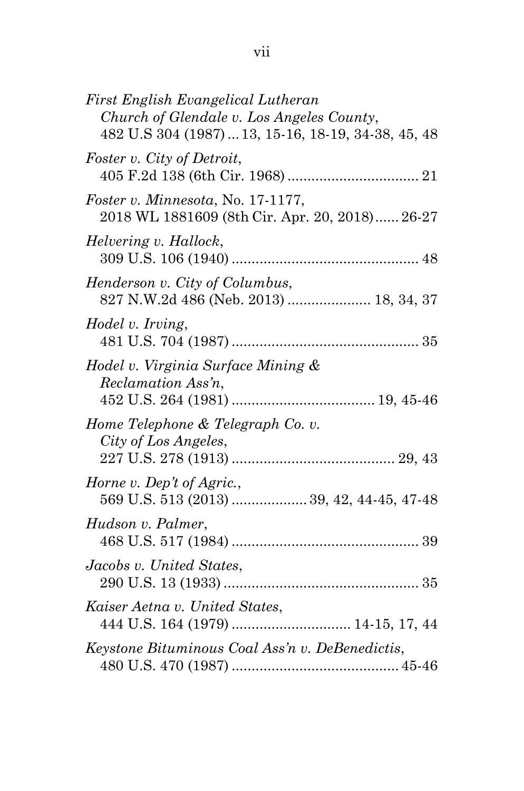| First English Evangelical Lutheran<br>Church of Glendale v. Los Angeles County,<br>482 U.S 304 (1987)  13, 15-16, 18-19, 34-38, 45, 48 |
|----------------------------------------------------------------------------------------------------------------------------------------|
| Foster v. City of Detroit,                                                                                                             |
| Foster v. Minnesota, No. 17-1177,<br>2018 WL 1881609 (8th Cir. Apr. 20, 2018) 26-27                                                    |
| Helvering v. Hallock,                                                                                                                  |
| Henderson v. City of Columbus,<br>827 N.W.2d 486 (Neb. 2013)  18, 34, 37                                                               |
| Hodel v. Irving,                                                                                                                       |
| Hodel v. Virginia Surface Mining &<br>Reclamation Ass'n,                                                                               |
| Home Telephone & Telegraph Co. v.<br>City of Los Angeles,                                                                              |
| Horne v. Dep't of Agric.,<br>569 U.S. 513 (2013)  39, 42, 44-45, 47-48                                                                 |
| Hudson v. Palmer,                                                                                                                      |
| Jacobs v. United States,                                                                                                               |
| Kaiser Aetna v. United States,                                                                                                         |
| Keystone Bituminous Coal Ass'n v. DeBenedictis,                                                                                        |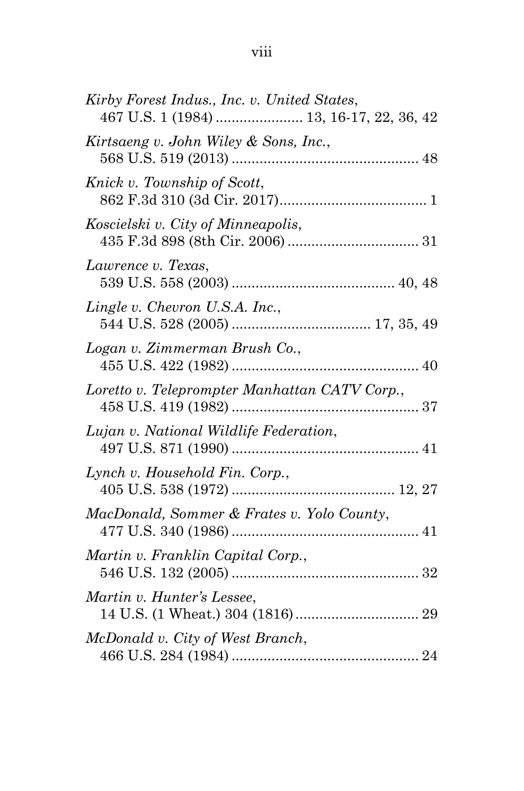| Kirby Forest Indus., Inc. v. United States,<br>467 U.S. 1 (1984)  13, 16-17, 22, 36, 42 |
|-----------------------------------------------------------------------------------------|
| Kirtsaeng v. John Wiley & Sons, Inc.,                                                   |
| Knick v. Township of Scott,                                                             |
| Koscielski v. City of Minneapolis,                                                      |
| Lawrence v. Texas,                                                                      |
| Lingle v. Chevron U.S.A. Inc.,                                                          |
| Logan v. Zimmerman Brush Co.,                                                           |
| Loretto v. Teleprompter Manhattan CATV Corp.,                                           |
| Lujan v. National Wildlife Federation,                                                  |
| Lynch v. Household Fin. Corp.,                                                          |
| MacDonald, Sommer & Frates v. Yolo County,                                              |
| Martin v. Franklin Capital Corp.,                                                       |
| Martin v. Hunter's Lessee,                                                              |
| McDonald v. City of West Branch,                                                        |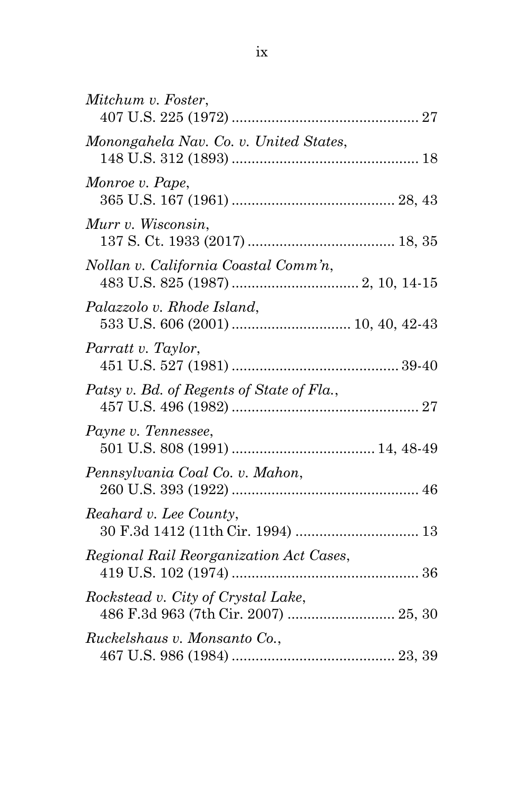| Mitchum v. Foster,                                                         |
|----------------------------------------------------------------------------|
| Monongahela Nav. Co. v. United States,                                     |
| Monroe v. Pape,                                                            |
| Murr v. Wisconsin,                                                         |
| Nollan v. California Coastal Comm'n,                                       |
| Palazzolo v. Rhode Island,                                                 |
| Parratt v. Taylor,                                                         |
| Patsy v. Bd. of Regents of State of Fla.,                                  |
| Payne v. Tennessee,                                                        |
| Pennsylvania Coal Co. v. Mahon,                                            |
| Reahard v. Lee County,                                                     |
| Regional Rail Reorganization Act Cases,                                    |
| Rockstead v. City of Crystal Lake,<br>486 F.3d 963 (7th Cir. 2007)  25, 30 |
| Ruckelshaus v. Monsanto Co.,                                               |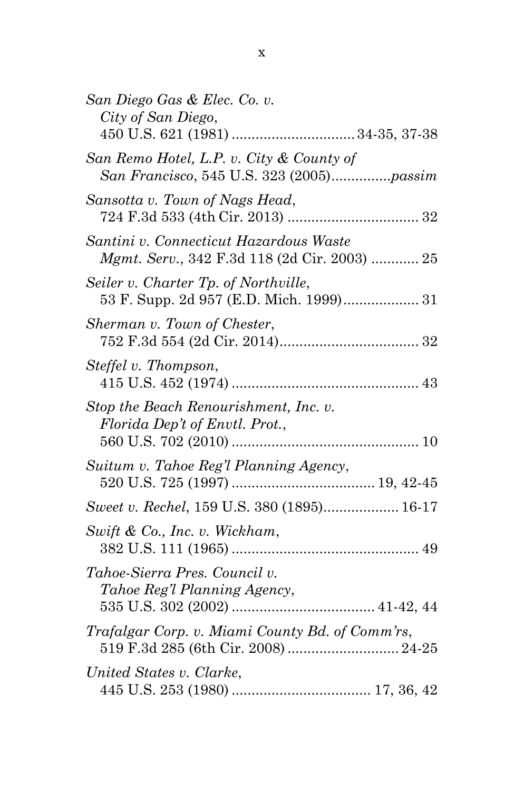| San Diego Gas & Elec. Co. v.<br>City of San Diego,                                     |
|----------------------------------------------------------------------------------------|
| San Remo Hotel, L.P. v. City & County of                                               |
| Sansotta v. Town of Nags Head,                                                         |
| Santini v. Connecticut Hazardous Waste<br>Mgmt. Serv., 342 F.3d 118 (2d Cir. 2003)  25 |
| Seiler v. Charter Tp. of Northville,<br>53 F. Supp. 2d 957 (E.D. Mich. 1999) 31        |
| Sherman v. Town of Chester,                                                            |
| Steffel v. Thompson,                                                                   |
| Stop the Beach Renourishment, Inc. v.<br>Florida Dep't of Envtl. Prot.,                |
| Suitum v. Tahoe Reg'l Planning Agency,                                                 |
| Sweet v. Rechel, 159 U.S. 380 (1895) 16-17                                             |
| Swift & Co., Inc. v. Wickham,                                                          |
| Tahoe-Sierra Pres. Council v.<br>Tahoe Reg'l Planning Agency,                          |
| Trafalgar Corp. v. Miami County Bd. of Comm'rs,<br>519 F.3d 285 (6th Cir. 2008)  24-25 |
| United States v. Clarke,                                                               |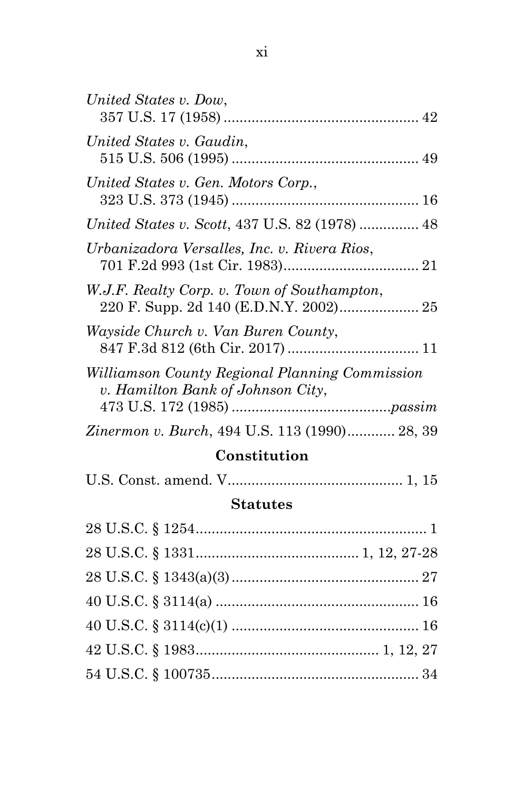| United States v. Dow,                                                               |
|-------------------------------------------------------------------------------------|
| United States v. Gaudin,                                                            |
| United States v. Gen. Motors Corp.,                                                 |
| <i>United States v. Scott, 437 U.S. 82 (1978) </i> 48                               |
| Urbanizadora Versalles, Inc. v. Rivera Rios,                                        |
| W.J.F. Realty Corp. v. Town of Southampton,                                         |
| Wayside Church v. Van Buren County,                                                 |
| Williamson County Regional Planning Commission<br>v. Hamilton Bank of Johnson City, |
| Zinermon v. Burch, 494 U.S. 113 (1990) 28, 39                                       |

# **Constitution**

|--|

# **Statutes**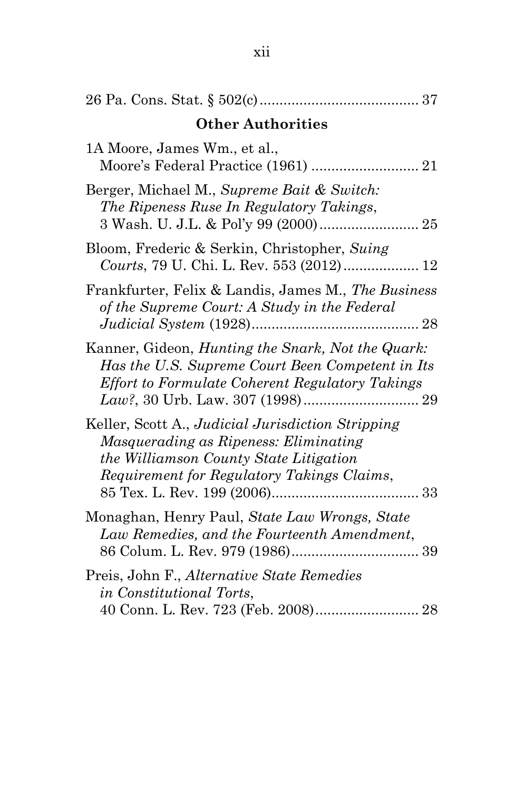| <b>Other Authorities</b>                                                                                                                                                           |
|------------------------------------------------------------------------------------------------------------------------------------------------------------------------------------|
| 1A Moore, James Wm., et al.,                                                                                                                                                       |
| Berger, Michael M., Supreme Bait & Switch:<br>The Ripeness Ruse In Regulatory Takings,                                                                                             |
| Bloom, Frederic & Serkin, Christopher, Suing<br>Courts, 79 U. Chi. L. Rev. 553 (2012) 12                                                                                           |
| Frankfurter, Felix & Landis, James M., The Business<br>of the Supreme Court: A Study in the Federal                                                                                |
| Kanner, Gideon, Hunting the Snark, Not the Quark:<br>Has the U.S. Supreme Court Been Competent in Its<br>Effort to Formulate Coherent Regulatory Takings                           |
| Keller, Scott A., Judicial Jurisdiction Stripping<br>Masquerading as Ripeness: Eliminating<br>the Williamson County State Litigation<br>Requirement for Regulatory Takings Claims, |
| Monaghan, Henry Paul, State Law Wrongs, State<br>Law Remedies, and the Fourteenth Amendment,                                                                                       |
| Preis, John F., Alternative State Remedies<br><i>in Constitutional Torts,</i>                                                                                                      |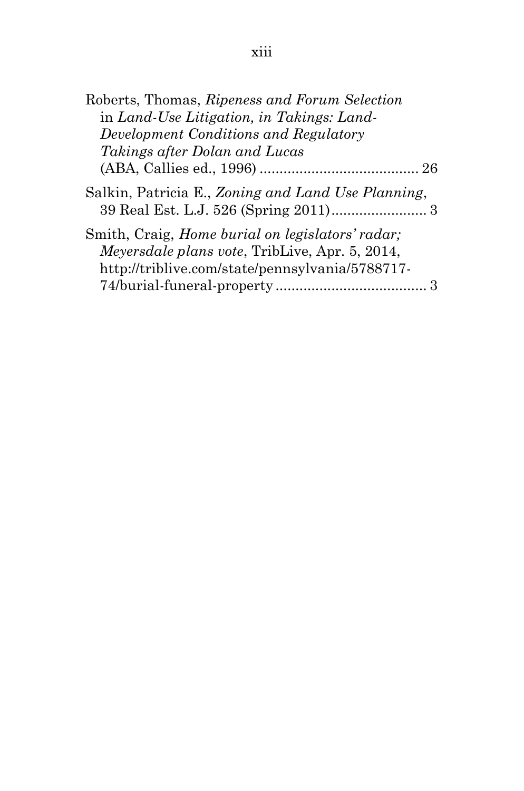| Roberts, Thomas, Ripeness and Forum Selection                                                                      |
|--------------------------------------------------------------------------------------------------------------------|
| in Land-Use Litigation, in Takings: Land-                                                                          |
| Development Conditions and Regulatory                                                                              |
| Takings after Dolan and Lucas                                                                                      |
|                                                                                                                    |
| Salkin, Patricia E., Zoning and Land Use Planning,                                                                 |
| Smith, Craig, <i>Home burial on legislators' radar</i> ;<br><i>Meyersdale plans vote</i> , TribLive, Apr. 5, 2014, |
| http://triblive.com/state/pennsylvania/5788717-                                                                    |
|                                                                                                                    |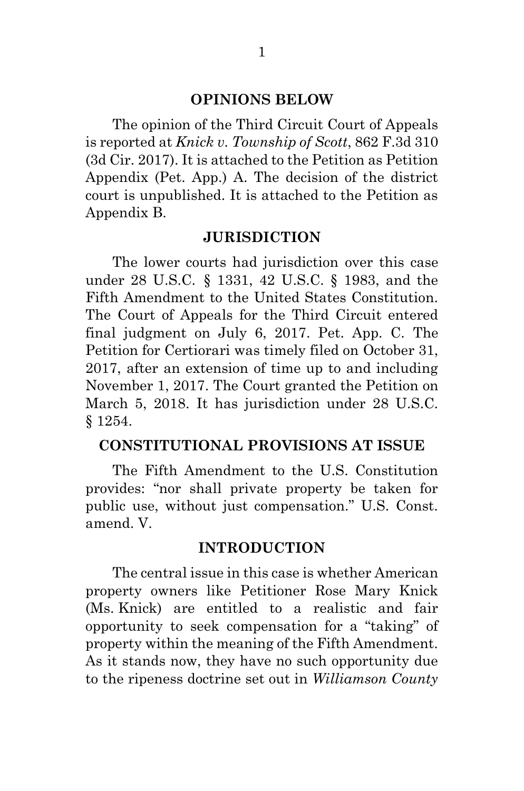#### **OPINIONS BELOW**

The opinion of the Third Circuit Court of Appeals is reported at *Knick v. Township of Scott*, 862 F.3d 310 (3d Cir. 2017). It is attached to the Petition as Petition Appendix (Pet. App.) A. The decision of the district court is unpublished. It is attached to the Petition as Appendix B.

#### **JURISDICTION**

 The lower courts had jurisdiction over this case under 28 U.S.C. § 1331, 42 U.S.C. § 1983, and the Fifth Amendment to the United States Constitution. The Court of Appeals for the Third Circuit entered final judgment on July 6, 2017. Pet. App. C. The Petition for Certiorari was timely filed on October 31, 2017, after an extension of time up to and including November 1, 2017. The Court granted the Petition on March 5, 2018. It has jurisdiction under 28 U.S.C. § 1254.

#### **CONSTITUTIONAL PROVISIONS AT ISSUE**

 The Fifth Amendment to the U.S. Constitution provides: "nor shall private property be taken for public use, without just compensation." U.S. Const. amend. V.

#### **INTRODUCTION**

 The central issue in this case is whether American property owners like Petitioner Rose Mary Knick (Ms. Knick) are entitled to a realistic and fair opportunity to seek compensation for a "taking" of property within the meaning of the Fifth Amendment. As it stands now, they have no such opportunity due to the ripeness doctrine set out in *Williamson County*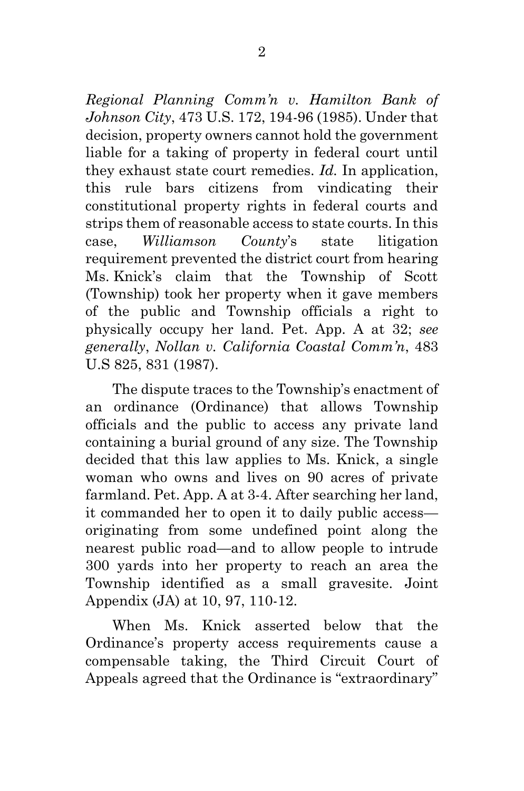*Regional Planning Comm'n v. Hamilton Bank of Johnson City*, 473 U.S. 172, 194-96 (1985). Under that decision, property owners cannot hold the government liable for a taking of property in federal court until they exhaust state court remedies. *Id.* In application, this rule bars citizens from vindicating their constitutional property rights in federal courts and strips them of reasonable access to state courts. In this case, *Williamson County*'s state litigation requirement prevented the district court from hearing Ms. Knick's claim that the Township of Scott (Township) took her property when it gave members of the public and Township officials a right to physically occupy her land. Pet. App. A at 32; *see generally*, *Nollan v. California Coastal Comm'n*, 483 U.S 825, 831 (1987).

The dispute traces to the Township's enactment of an ordinance (Ordinance) that allows Township officials and the public to access any private land containing a burial ground of any size. The Township decided that this law applies to Ms. Knick, a single woman who owns and lives on 90 acres of private farmland. Pet. App. A at 3-4. After searching her land, it commanded her to open it to daily public access originating from some undefined point along the nearest public road—and to allow people to intrude 300 yards into her property to reach an area the Township identified as a small gravesite. Joint Appendix (JA) at 10, 97, 110-12.

 When Ms. Knick asserted below that the Ordinance's property access requirements cause a compensable taking, the Third Circuit Court of Appeals agreed that the Ordinance is "extraordinary"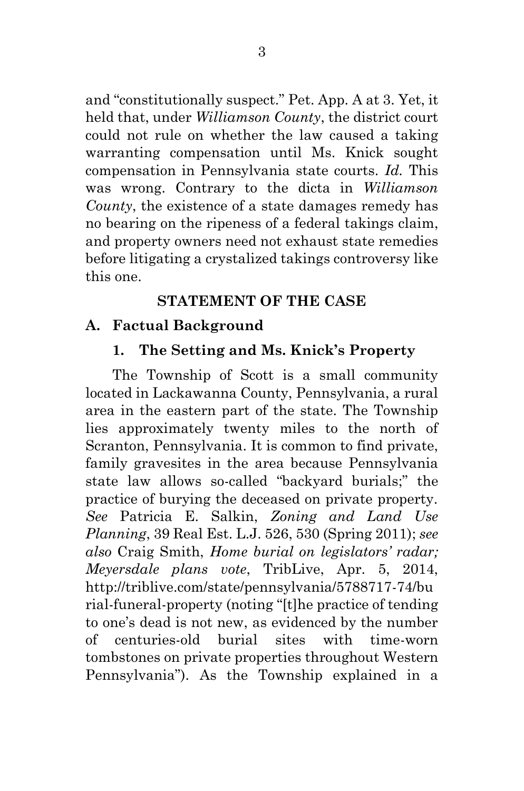and "constitutionally suspect." Pet. App. A at 3. Yet, it held that, under *Williamson County*, the district court could not rule on whether the law caused a taking warranting compensation until Ms. Knick sought compensation in Pennsylvania state courts. *Id.* This was wrong. Contrary to the dicta in *Williamson County*, the existence of a state damages remedy has no bearing on the ripeness of a federal takings claim, and property owners need not exhaust state remedies before litigating a crystalized takings controversy like this one.

## **STATEMENT OF THE CASE**

# **A. Factual Background**

# **1. The Setting and Ms. Knick's Property**

 The Township of Scott is a small community located in Lackawanna County, Pennsylvania, a rural area in the eastern part of the state. The Township lies approximately twenty miles to the north of Scranton, Pennsylvania. It is common to find private, family gravesites in the area because Pennsylvania state law allows so-called "backyard burials;" the practice of burying the deceased on private property. *See* Patricia E. Salkin, *Zoning and Land Use Planning*, 39 Real Est. L.J. 526, 530 (Spring 2011); *see also* Craig Smith, *Home burial on legislators' radar; Meyersdale plans vote*, TribLive, Apr. 5, 2014, http://triblive.com/state/pennsylvania/5788717-74/bu rial-funeral-property (noting "[t]he practice of tending to one's dead is not new, as evidenced by the number of centuries-old burial sites with time-worn tombstones on private properties throughout Western Pennsylvania"). As the Township explained in a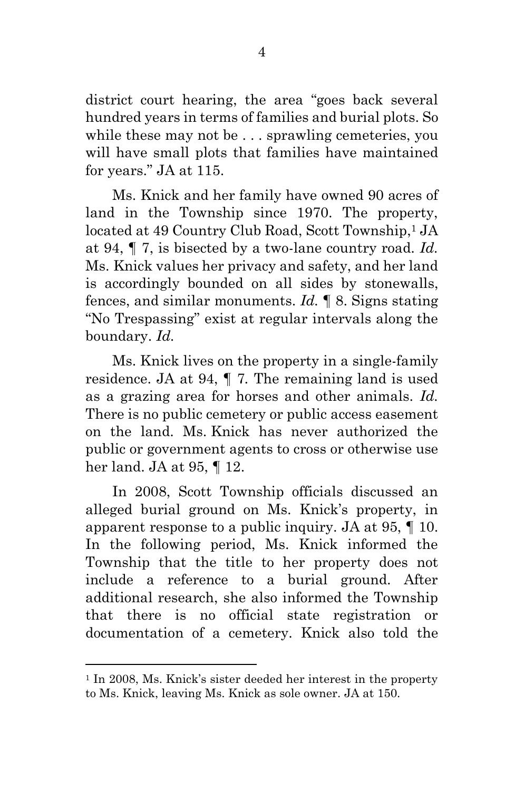district court hearing, the area "goes back several hundred years in terms of families and burial plots. So while these may not be . . . sprawling cemeteries, you will have small plots that families have maintained for years." JA at 115.

 Ms. Knick and her family have owned 90 acres of land in the Township since 1970. The property, located at 49 Country Club Road, Scott Township,<sup>1</sup> JA at 94, ¶ 7, is bisected by a two-lane country road. *Id.* Ms. Knick values her privacy and safety, and her land is accordingly bounded on all sides by stonewalls, fences, and similar monuments. *Id.* ¶ 8. Signs stating "No Trespassing" exist at regular intervals along the boundary. *Id.*

 Ms. Knick lives on the property in a single-family residence. JA at 94, ¶ 7*.* The remaining land is used as a grazing area for horses and other animals. *Id.* There is no public cemetery or public access easement on the land. Ms. Knick has never authorized the public or government agents to cross or otherwise use her land. JA at 95, ¶ 12.

 In 2008, Scott Township officials discussed an alleged burial ground on Ms. Knick's property, in apparent response to a public inquiry. JA at 95, ¶ 10. In the following period, Ms. Knick informed the Township that the title to her property does not include a reference to a burial ground. After additional research, she also informed the Township that there is no official state registration or documentation of a cemetery. Knick also told the

<sup>1</sup> In 2008, Ms. Knick's sister deeded her interest in the property to Ms. Knick, leaving Ms. Knick as sole owner. JA at 150.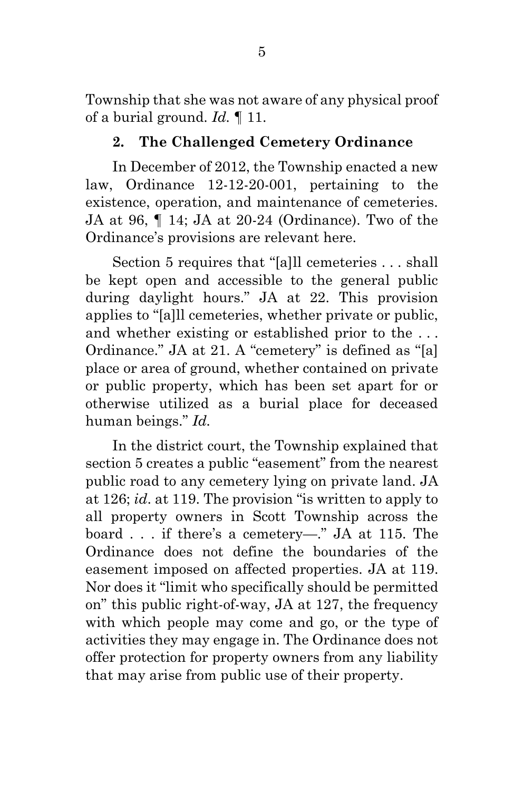Township that she was not aware of any physical proof of a burial ground. *Id.* ¶ 11.

### **2. The Challenged Cemetery Ordinance**

 In December of 2012, the Township enacted a new law, Ordinance 12-12-20-001, pertaining to the existence, operation, and maintenance of cemeteries. JA at 96, ¶ 14; JA at 20-24 (Ordinance). Two of the Ordinance's provisions are relevant here.

Section 5 requires that "[a]ll cemeteries . . . shall be kept open and accessible to the general public during daylight hours." JA at 22. This provision applies to "[a]ll cemeteries, whether private or public, and whether existing or established prior to the . . . Ordinance." JA at 21. A "cemetery" is defined as "[a] place or area of ground, whether contained on private or public property, which has been set apart for or otherwise utilized as a burial place for deceased human beings." *Id.* 

 In the district court, the Township explained that section 5 creates a public "easement" from the nearest public road to any cemetery lying on private land. JA at 126; *id*. at 119. The provision "is written to apply to all property owners in Scott Township across the board . . . if there's a cemetery—." JA at 115. The Ordinance does not define the boundaries of the easement imposed on affected properties. JA at 119. Nor does it "limit who specifically should be permitted on" this public right-of-way, JA at 127, the frequency with which people may come and go, or the type of activities they may engage in. The Ordinance does not offer protection for property owners from any liability that may arise from public use of their property.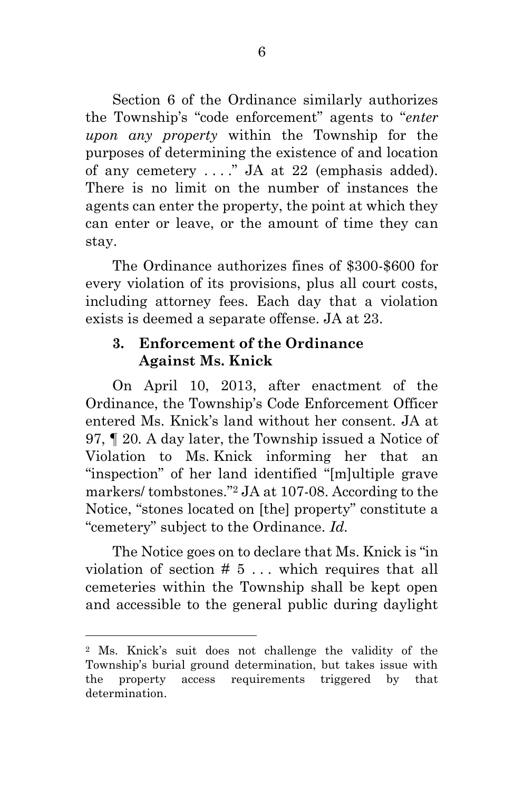Section 6 of the Ordinance similarly authorizes the Township's "code enforcement" agents to "*enter upon any property* within the Township for the purposes of determining the existence of and location of any cemetery . . . ." JA at 22 (emphasis added). There is no limit on the number of instances the agents can enter the property, the point at which they can enter or leave, or the amount of time they can stay.

 The Ordinance authorizes fines of \$300-\$600 for every violation of its provisions, plus all court costs, including attorney fees. Each day that a violation exists is deemed a separate offense. JA at 23.

### **3. Enforcement of the Ordinance Against Ms. Knick**

 On April 10, 2013, after enactment of the Ordinance, the Township's Code Enforcement Officer entered Ms. Knick's land without her consent. JA at 97, ¶ 20*.* A day later, the Township issued a Notice of Violation to Ms. Knick informing her that an "inspection" of her land identified "[m]ultiple grave markers/ tombstones."2 JA at 107-08. According to the Notice, "stones located on [the] property" constitute a "cemetery" subject to the Ordinance. *Id.*

 The Notice goes on to declare that Ms. Knick is "in violation of section  $# 5...$  which requires that all cemeteries within the Township shall be kept open and accessible to the general public during daylight

<sup>2</sup> Ms. Knick's suit does not challenge the validity of the Township's burial ground determination, but takes issue with the property access requirements triggered by that determination.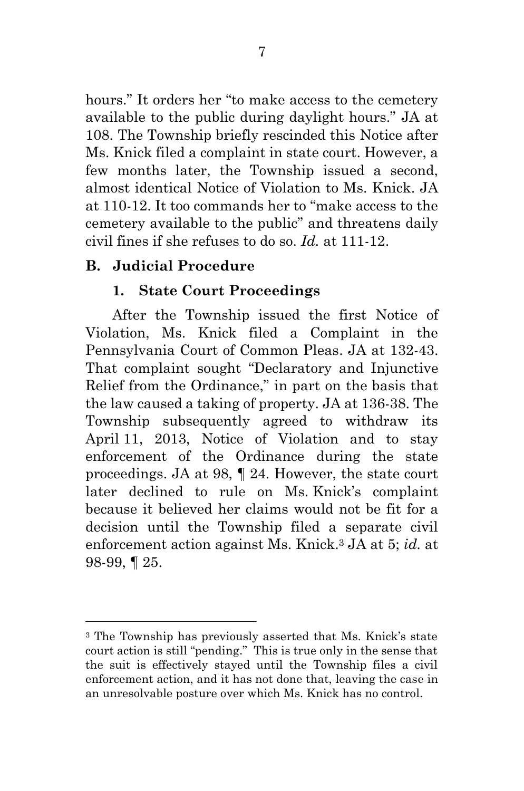hours." It orders her "to make access to the cemetery available to the public during daylight hours." JA at 108. The Township briefly rescinded this Notice after Ms. Knick filed a complaint in state court. However, a few months later, the Township issued a second, almost identical Notice of Violation to Ms. Knick. JA at 110-12. It too commands her to "make access to the cemetery available to the public" and threatens daily civil fines if she refuses to do so. *Id.* at 111-12.

### **B. Judicial Procedure**

 $\overline{a}$ 

### **1. State Court Proceedings**

 After the Township issued the first Notice of Violation, Ms. Knick filed a Complaint in the Pennsylvania Court of Common Pleas. JA at 132-43. That complaint sought "Declaratory and Injunctive Relief from the Ordinance," in part on the basis that the law caused a taking of property. JA at 136-38. The Township subsequently agreed to withdraw its April 11, 2013, Notice of Violation and to stay enforcement of the Ordinance during the state proceedings. JA at 98, ¶ 24. However, the state court later declined to rule on Ms. Knick's complaint because it believed her claims would not be fit for a decision until the Township filed a separate civil enforcement action against Ms. Knick.3 JA at 5; *id.* at 98-99, ¶ 25.

<sup>3</sup> The Township has previously asserted that Ms. Knick's state court action is still "pending." This is true only in the sense that the suit is effectively stayed until the Township files a civil enforcement action, and it has not done that, leaving the case in an unresolvable posture over which Ms. Knick has no control.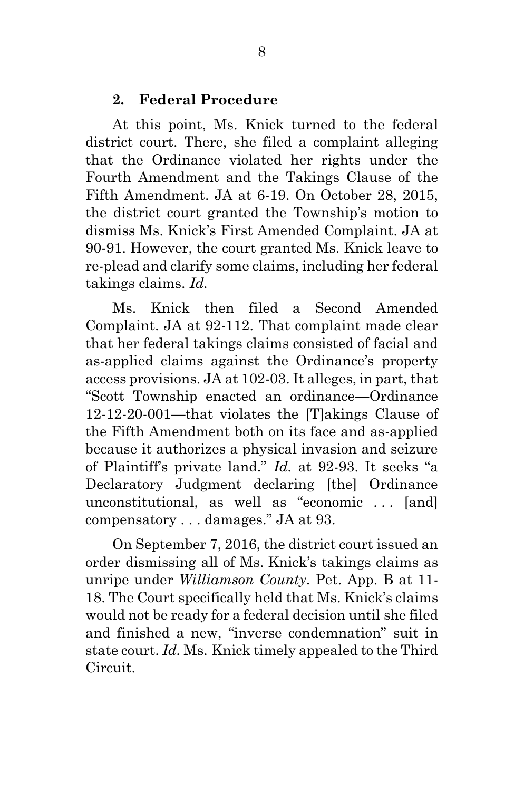#### **2. Federal Procedure**

 At this point, Ms. Knick turned to the federal district court. There, she filed a complaint alleging that the Ordinance violated her rights under the Fourth Amendment and the Takings Clause of the Fifth Amendment. JA at 6-19. On October 28, 2015, the district court granted the Township's motion to dismiss Ms. Knick's First Amended Complaint. JA at 90-91. However, the court granted Ms. Knick leave to re-plead and clarify some claims, including her federal takings claims. *Id.*

 Ms. Knick then filed a Second Amended Complaint. JA at 92-112. That complaint made clear that her federal takings claims consisted of facial and as-applied claims against the Ordinance's property access provisions. JA at 102-03. It alleges, in part, that "Scott Township enacted an ordinance—Ordinance 12-12-20-001—that violates the [T]akings Clause of the Fifth Amendment both on its face and as-applied because it authorizes a physical invasion and seizure of Plaintiff's private land." *Id.* at 92-93. It seeks "a Declaratory Judgment declaring [the] Ordinance unconstitutional, as well as "economic . . . [and] compensatory . . . damages." JA at 93.

 On September 7, 2016, the district court issued an order dismissing all of Ms. Knick's takings claims as unripe under *Williamson County*. Pet. App. B at 11- 18. The Court specifically held that Ms. Knick's claims would not be ready for a federal decision until she filed and finished a new, "inverse condemnation" suit in state court. *Id.* Ms. Knick timely appealed to the Third Circuit.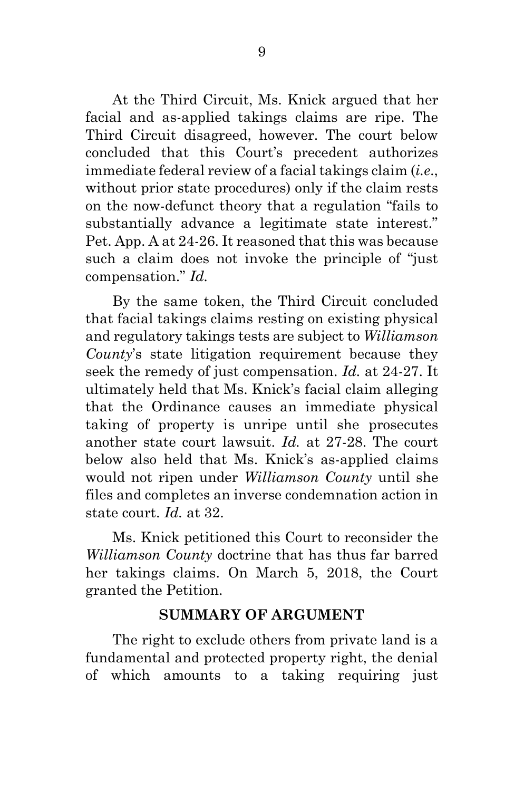At the Third Circuit, Ms. Knick argued that her facial and as-applied takings claims are ripe. The Third Circuit disagreed, however. The court below concluded that this Court's precedent authorizes immediate federal review of a facial takings claim (*i.e*., without prior state procedures) only if the claim rests on the now-defunct theory that a regulation "fails to substantially advance a legitimate state interest." Pet. App. A at 24-26. It reasoned that this was because such a claim does not invoke the principle of "just compensation." *Id.*

 By the same token, the Third Circuit concluded that facial takings claims resting on existing physical and regulatory takings tests are subject to *Williamson County*'s state litigation requirement because they seek the remedy of just compensation. *Id.* at 24-27. It ultimately held that Ms. Knick's facial claim alleging that the Ordinance causes an immediate physical taking of property is unripe until she prosecutes another state court lawsuit. *Id.* at 27-28. The court below also held that Ms. Knick's as-applied claims would not ripen under *Williamson County* until she files and completes an inverse condemnation action in state court. *Id.* at 32.

 Ms. Knick petitioned this Court to reconsider the *Williamson County* doctrine that has thus far barred her takings claims. On March 5, 2018, the Court granted the Petition.

### **SUMMARY OF ARGUMENT**

The right to exclude others from private land is a fundamental and protected property right, the denial of which amounts to a taking requiring just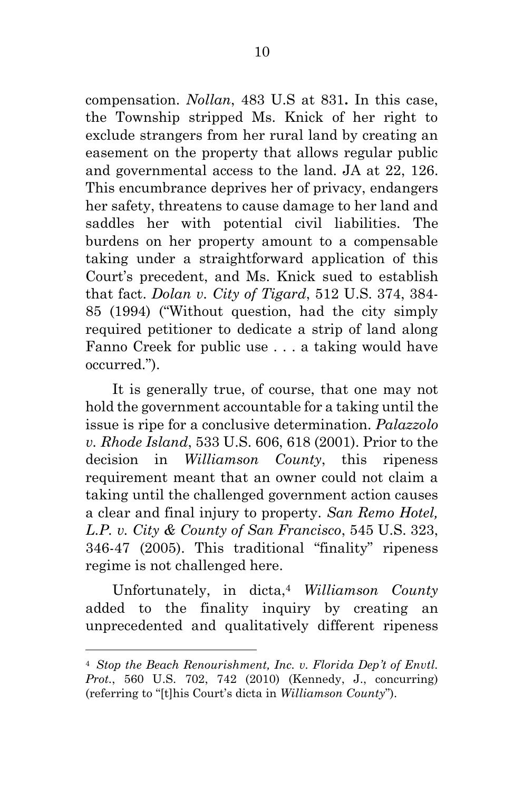compensation. *Nollan*, 483 U.S at 831**.** In this case, the Township stripped Ms. Knick of her right to exclude strangers from her rural land by creating an easement on the property that allows regular public and governmental access to the land. JA at 22, 126. This encumbrance deprives her of privacy, endangers her safety, threatens to cause damage to her land and saddles her with potential civil liabilities. The burdens on her property amount to a compensable taking under a straightforward application of this Court's precedent, and Ms. Knick sued to establish that fact. *Dolan v. City of Tigard*, 512 U.S. 374, 384- 85 (1994) ("Without question, had the city simply required petitioner to dedicate a strip of land along Fanno Creek for public use . . . a taking would have occurred.").

 It is generally true, of course, that one may not hold the government accountable for a taking until the issue is ripe for a conclusive determination. *Palazzolo v. Rhode Island*, 533 U.S. 606, 618 (2001). Prior to the decision in *Williamson County*, this ripeness requirement meant that an owner could not claim a taking until the challenged government action causes a clear and final injury to property. *San Remo Hotel, L.P. v. City & County of San Francisco*, 545 U.S. 323, 346-47 (2005). This traditional "finality" ripeness regime is not challenged here.

 Unfortunately, in dicta,<sup>4</sup> *Williamson County*  added to the finality inquiry by creating an unprecedented and qualitatively different ripeness

<sup>4</sup> *Stop the Beach Renourishment, Inc. v. Florida Dep't of Envtl. Prot.*, 560 U.S. 702, 742 (2010) (Kennedy, J., concurring) (referring to "[t]his Court's dicta in *Williamson County*").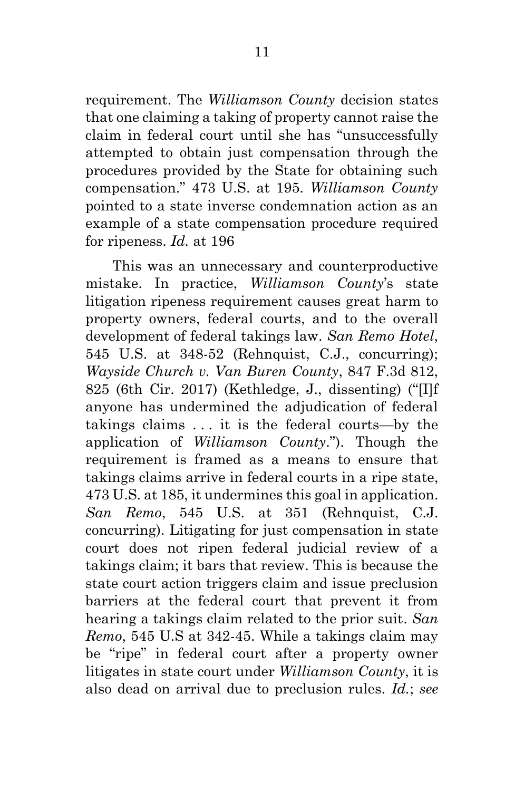requirement. The *Williamson County* decision states that one claiming a taking of property cannot raise the claim in federal court until she has "unsuccessfully attempted to obtain just compensation through the procedures provided by the State for obtaining such compensation." 473 U.S. at 195. *Williamson County* pointed to a state inverse condemnation action as an example of a state compensation procedure required for ripeness. *Id.* at 196

 This was an unnecessary and counterproductive mistake. In practice, *Williamson County*'s state litigation ripeness requirement causes great harm to property owners, federal courts, and to the overall development of federal takings law. *San Remo Hotel*, 545 U.S. at 348-52 (Rehnquist, C.J., concurring); *Wayside Church v. Van Buren County*, 847 F.3d 812, 825 (6th Cir. 2017) (Kethledge, J., dissenting) ("[I]f anyone has undermined the adjudication of federal takings claims . . . it is the federal courts—by the application of *Williamson County*."). Though the requirement is framed as a means to ensure that takings claims arrive in federal courts in a ripe state, 473 U.S. at 185, it undermines this goal in application. *San Remo*, 545 U.S. at 351 (Rehnquist, C.J. concurring). Litigating for just compensation in state court does not ripen federal judicial review of a takings claim; it bars that review. This is because the state court action triggers claim and issue preclusion barriers at the federal court that prevent it from hearing a takings claim related to the prior suit. *San Remo*, 545 U.S at 342-45. While a takings claim may be "ripe" in federal court after a property owner litigates in state court under *Williamson County*, it is also dead on arrival due to preclusion rules. *Id.*; *see*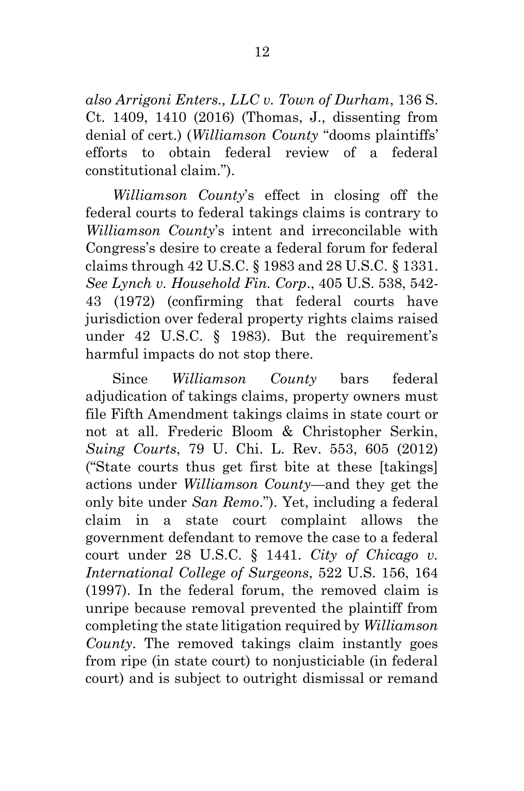*also Arrigoni Enters., LLC v. Town of Durham*, 136 S. Ct. 1409, 1410 (2016) (Thomas, J., dissenting from denial of cert.) (*Williamson County* "dooms plaintiffs' efforts to obtain federal review of a federal constitutional claim.").

*Williamson County*'s effect in closing off the federal courts to federal takings claims is contrary to *Williamson County*'s intent and irreconcilable with Congress's desire to create a federal forum for federal claims through 42 U.S.C. § 1983 and 28 U.S.C. § 1331. *See Lynch v. Household Fin. Corp*., 405 U.S. 538, 542- 43 (1972) (confirming that federal courts have jurisdiction over federal property rights claims raised under 42 U.S.C. § 1983). But the requirement's harmful impacts do not stop there.

 Since *Williamson County* bars federal adjudication of takings claims, property owners must file Fifth Amendment takings claims in state court or not at all. Frederic Bloom & Christopher Serkin, *Suing Courts*, 79 U. Chi. L. Rev. 553, 605 (2012) ("State courts thus get first bite at these [takings] actions under *Williamson County*—and they get the only bite under *San Remo*."). Yet, including a federal claim in a state court complaint allows the government defendant to remove the case to a federal court under 28 U.S.C. § 1441. *City of Chicago v. International College of Surgeons*, 522 U.S. 156, 164 (1997). In the federal forum, the removed claim is unripe because removal prevented the plaintiff from completing the state litigation required by *Williamson County*. The removed takings claim instantly goes from ripe (in state court) to nonjusticiable (in federal court) and is subject to outright dismissal or remand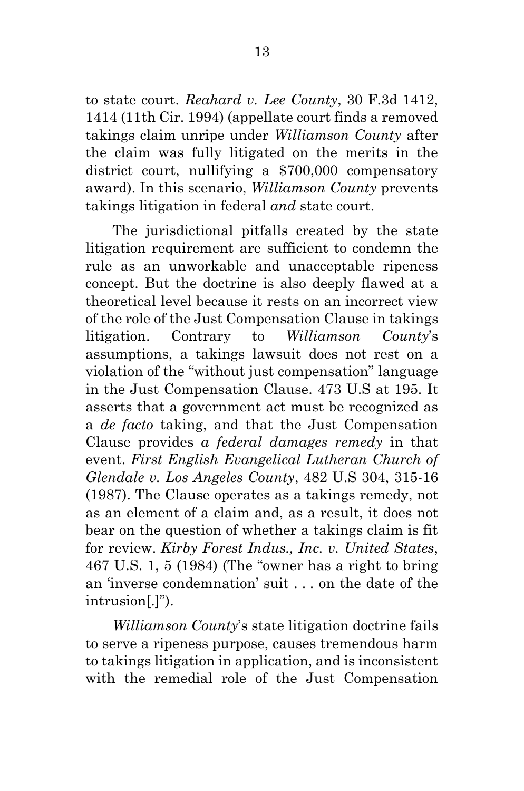to state court. *Reahard v. Lee County*, 30 F.3d 1412, 1414 (11th Cir. 1994) (appellate court finds a removed takings claim unripe under *Williamson County* after the claim was fully litigated on the merits in the district court, nullifying a \$700,000 compensatory award). In this scenario, *Williamson County* prevents takings litigation in federal *and* state court.

 The jurisdictional pitfalls created by the state litigation requirement are sufficient to condemn the rule as an unworkable and unacceptable ripeness concept. But the doctrine is also deeply flawed at a theoretical level because it rests on an incorrect view of the role of the Just Compensation Clause in takings litigation. Contrary to *Williamson County*'s assumptions, a takings lawsuit does not rest on a violation of the "without just compensation" language in the Just Compensation Clause. 473 U.S at 195. It asserts that a government act must be recognized as a *de facto* taking, and that the Just Compensation Clause provides *a federal damages remedy* in that event. *First English Evangelical Lutheran Church of Glendale v. Los Angeles County*, 482 U.S 304, 315-16 (1987). The Clause operates as a takings remedy, not as an element of a claim and, as a result, it does not bear on the question of whether a takings claim is fit for review. *Kirby Forest Indus., Inc. v. United States*, 467 U.S. 1, 5 (1984) (The "owner has a right to bring an 'inverse condemnation' suit . . . on the date of the intrusion[.]").

*Williamson County*'s state litigation doctrine fails to serve a ripeness purpose, causes tremendous harm to takings litigation in application, and is inconsistent with the remedial role of the Just Compensation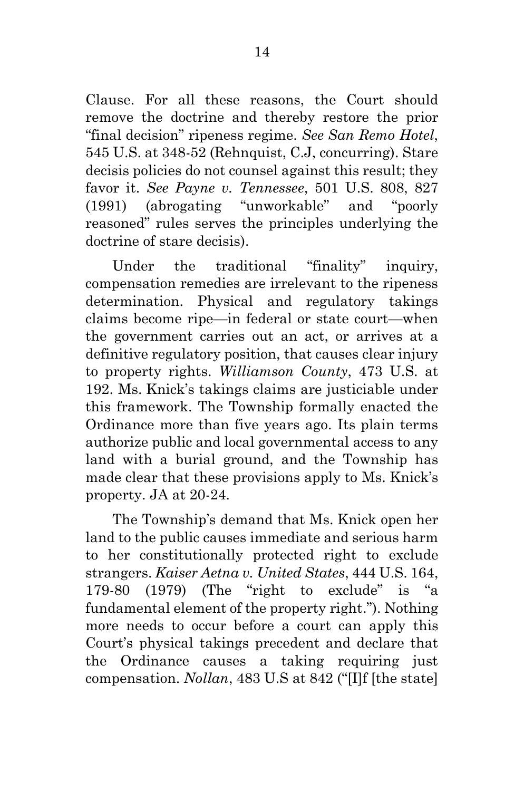Clause. For all these reasons, the Court should remove the doctrine and thereby restore the prior "final decision" ripeness regime. *See San Remo Hotel*, 545 U.S. at 348-52 (Rehnquist, C.J, concurring). Stare decisis policies do not counsel against this result; they favor it. *See Payne v. Tennessee*, 501 U.S. 808, 827 (1991) (abrogating "unworkable" and "poorly reasoned" rules serves the principles underlying the doctrine of stare decisis).

Under the traditional "finality" inquiry, compensation remedies are irrelevant to the ripeness determination. Physical and regulatory takings claims become ripe—in federal or state court—when the government carries out an act, or arrives at a definitive regulatory position, that causes clear injury to property rights. *Williamson County*, 473 U.S. at 192. Ms. Knick's takings claims are justiciable under this framework. The Township formally enacted the Ordinance more than five years ago. Its plain terms authorize public and local governmental access to any land with a burial ground, and the Township has made clear that these provisions apply to Ms. Knick's property. JA at 20-24.

The Township's demand that Ms. Knick open her land to the public causes immediate and serious harm to her constitutionally protected right to exclude strangers. *Kaiser Aetna v. United States*, 444 U.S. 164, 179-80 (1979) (The "right to exclude" is "a fundamental element of the property right."). Nothing more needs to occur before a court can apply this Court's physical takings precedent and declare that the Ordinance causes a taking requiring just compensation. *Nollan*, 483 U.S at 842 ("[I]f [the state]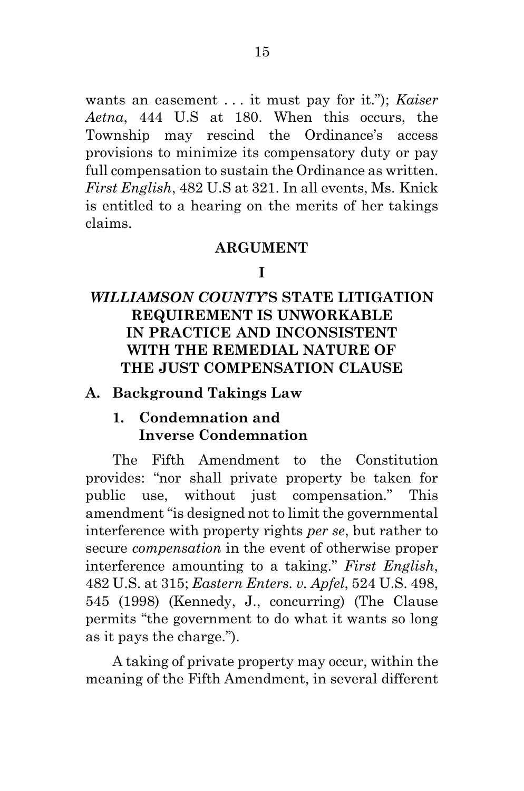wants an easement . . . it must pay for it."); *Kaiser Aetna*, 444 U.S at 180. When this occurs, the Township may rescind the Ordinance's access provisions to minimize its compensatory duty or pay full compensation to sustain the Ordinance as written. *First English*, 482 U.S at 321. In all events, Ms. Knick is entitled to a hearing on the merits of her takings claims.

#### **ARGUMENT**

### **I**

# *WILLIAMSON COUNTY***'S STATE LITIGATION REQUIREMENT IS UNWORKABLE IN PRACTICE AND INCONSISTENT WITH THE REMEDIAL NATURE OF THE JUST COMPENSATION CLAUSE**

### **A. Background Takings Law**

### **1. Condemnation and Inverse Condemnation**

 The Fifth Amendment to the Constitution provides: "nor shall private property be taken for public use, without just compensation." This amendment "is designed not to limit the governmental interference with property rights *per se*, but rather to secure *compensation* in the event of otherwise proper interference amounting to a taking." *First English*, 482 U.S. at 315; *Eastern Enters. v. Apfel*, 524 U.S. 498, 545 (1998) (Kennedy, J., concurring) (The Clause permits "the government to do what it wants so long as it pays the charge.").

 A taking of private property may occur, within the meaning of the Fifth Amendment, in several different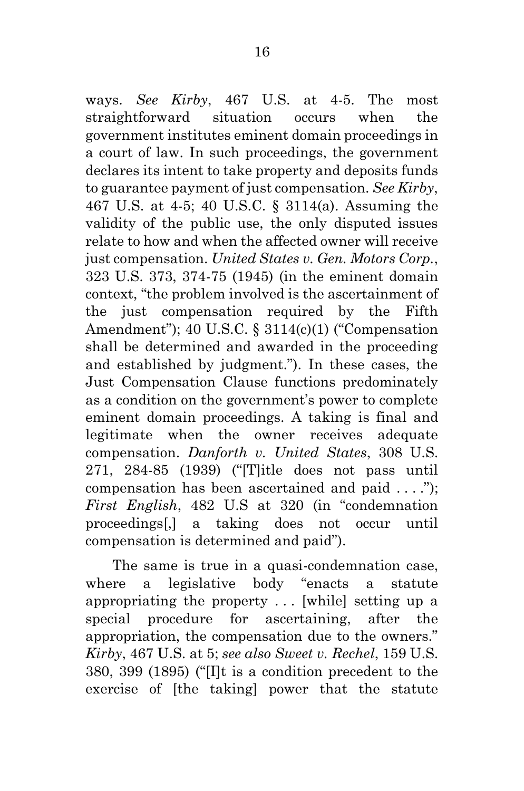ways. *See Kirby*, 467 U.S. at 4-5. The most straightforward situation occurs when the government institutes eminent domain proceedings in a court of law. In such proceedings, the government declares its intent to take property and deposits funds to guarantee payment of just compensation. *See Kirby*, 467 U.S. at 4-5; 40 U.S.C. § 3114(a). Assuming the validity of the public use, the only disputed issues relate to how and when the affected owner will receive just compensation. *United States v. Gen. Motors Corp.*, 323 U.S. 373, 374-75 (1945) (in the eminent domain context, "the problem involved is the ascertainment of the just compensation required by the Fifth Amendment"); 40 U.S.C. § 3114(c)(1) ("Compensation shall be determined and awarded in the proceeding and established by judgment."). In these cases, the Just Compensation Clause functions predominately as a condition on the government's power to complete eminent domain proceedings. A taking is final and legitimate when the owner receives adequate compensation. *Danforth v. United States*, 308 U.S. 271, 284-85 (1939) ("[T]itle does not pass until compensation has been ascertained and paid . . . ."); *First English*, 482 U.S at 320 (in "condemnation proceedings[,] a taking does not occur until compensation is determined and paid").

 The same is true in a quasi-condemnation case, where a legislative body "enacts a statute appropriating the property . . . [while] setting up a special procedure for ascertaining, after the appropriation, the compensation due to the owners." *Kirby*, 467 U.S. at 5; *see also Sweet v. Rechel*, 159 U.S. 380, 399 (1895) ("[I]t is a condition precedent to the exercise of [the taking] power that the statute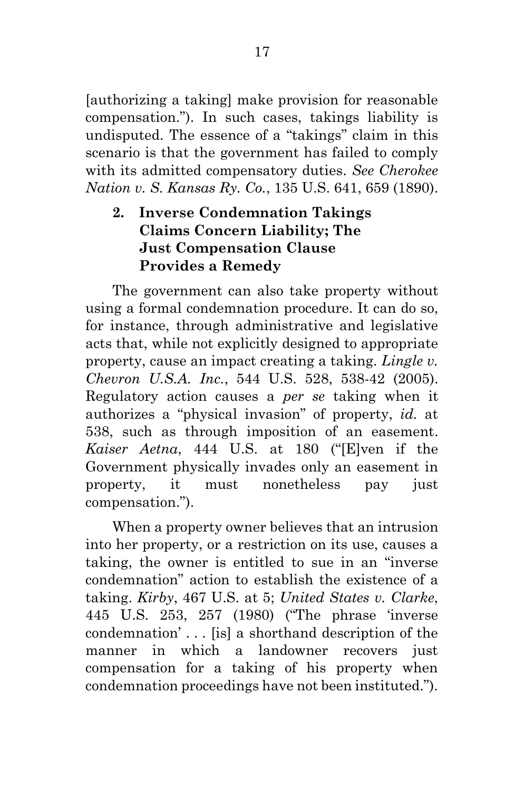[authorizing a taking] make provision for reasonable compensation."). In such cases, takings liability is undisputed. The essence of a "takings" claim in this scenario is that the government has failed to comply with its admitted compensatory duties. *See Cherokee Nation v. S. Kansas Ry. Co.*, 135 U.S. 641, 659 (1890).

# **2. Inverse Condemnation Takings Claims Concern Liability; The Just Compensation Clause Provides a Remedy**

The government can also take property without using a formal condemnation procedure. It can do so, for instance, through administrative and legislative acts that, while not explicitly designed to appropriate property, cause an impact creating a taking. *Lingle v. Chevron U.S.A. Inc.*, 544 U.S. 528, 538-42 (2005). Regulatory action causes a *per se* taking when it authorizes a "physical invasion" of property, *id.* at 538, such as through imposition of an easement. *Kaiser Aetna*, 444 U.S. at 180 ("[E]ven if the Government physically invades only an easement in property, it must nonetheless pay just compensation.").

 When a property owner believes that an intrusion into her property, or a restriction on its use, causes a taking, the owner is entitled to sue in an "inverse condemnation" action to establish the existence of a taking. *Kirby*, 467 U.S. at 5; *United States v. Clarke*, 445 U.S. 253, 257 (1980) ("The phrase 'inverse condemnation' . . . [is] a shorthand description of the manner in which a landowner recovers just compensation for a taking of his property when condemnation proceedings have not been instituted.").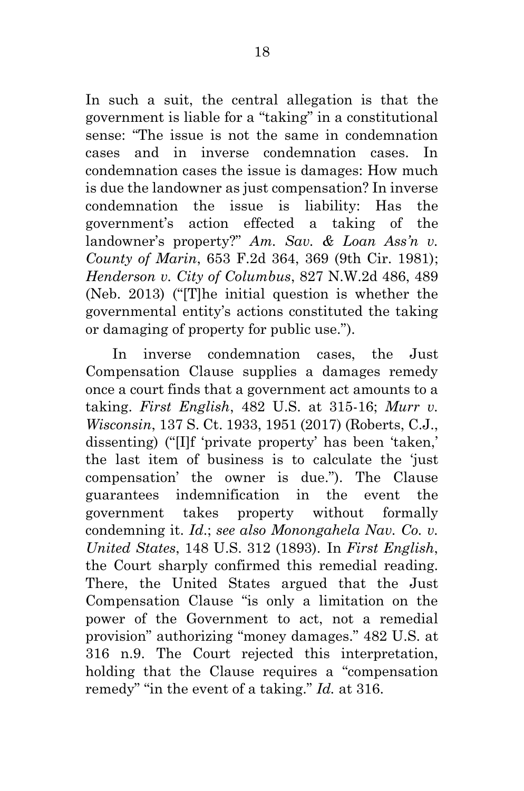In such a suit, the central allegation is that the government is liable for a "taking" in a constitutional sense: "The issue is not the same in condemnation cases and in inverse condemnation cases. In condemnation cases the issue is damages: How much is due the landowner as just compensation? In inverse condemnation the issue is liability: Has the government's action effected a taking of the landowner's property?" *Am. Sav. & Loan Ass'n v. County of Marin*, 653 F.2d 364, 369 (9th Cir. 1981); *Henderson v. City of Columbus*, 827 N.W.2d 486, 489 (Neb. 2013) ("[T]he initial question is whether the governmental entity's actions constituted the taking or damaging of property for public use.").

In inverse condemnation cases, the Just Compensation Clause supplies a damages remedy once a court finds that a government act amounts to a taking. *First English*, 482 U.S. at 315-16; *Murr v. Wisconsin*, 137 S. Ct. 1933, 1951 (2017) (Roberts, C.J., dissenting) ("[I]f 'private property' has been 'taken,' the last item of business is to calculate the 'just compensation' the owner is due."). The Clause guarantees indemnification in the event the government takes property without formally condemning it. *Id*.; *see also Monongahela Nav. Co. v. United States*, 148 U.S. 312 (1893). In *First English*, the Court sharply confirmed this remedial reading. There, the United States argued that the Just Compensation Clause "is only a limitation on the power of the Government to act, not a remedial provision" authorizing "money damages." 482 U.S. at 316 n.9. The Court rejected this interpretation, holding that the Clause requires a "compensation remedy" "in the event of a taking." *Id.* at 316.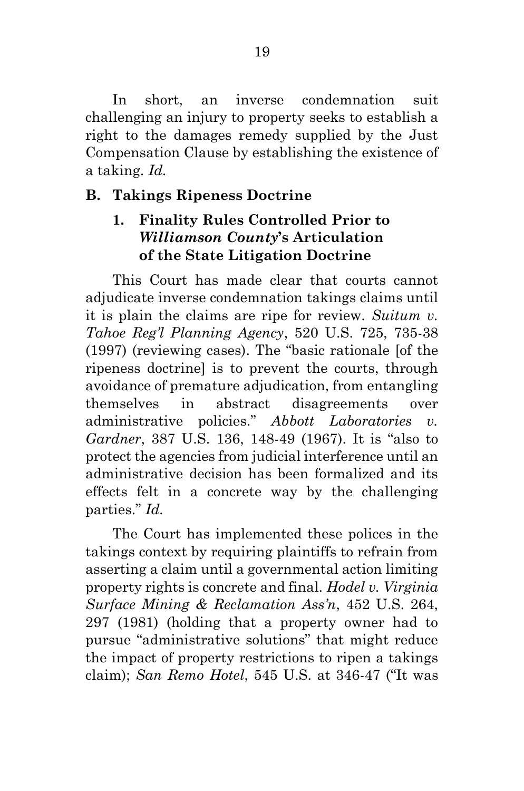In short, an inverse condemnation suit challenging an injury to property seeks to establish a right to the damages remedy supplied by the Just Compensation Clause by establishing the existence of a taking. *Id.*

## **B. Takings Ripeness Doctrine**

# **1. Finality Rules Controlled Prior to** *Williamson County***'s Articulation of the State Litigation Doctrine**

This Court has made clear that courts cannot adjudicate inverse condemnation takings claims until it is plain the claims are ripe for review. *Suitum v. Tahoe Reg'l Planning Agency*, 520 U.S. 725, 735-38 (1997) (reviewing cases). The "basic rationale [of the ripeness doctrine] is to prevent the courts, through avoidance of premature adjudication, from entangling themselves in abstract disagreements over administrative policies." *Abbott Laboratories v. Gardner*, 387 U.S. 136, 148-49 (1967). It is "also to protect the agencies from judicial interference until an administrative decision has been formalized and its effects felt in a concrete way by the challenging parties." *Id.*

 The Court has implemented these polices in the takings context by requiring plaintiffs to refrain from asserting a claim until a governmental action limiting property rights is concrete and final. *Hodel v. Virginia Surface Mining & Reclamation Ass'n*, 452 U.S. 264, 297 (1981) (holding that a property owner had to pursue "administrative solutions" that might reduce the impact of property restrictions to ripen a takings claim); *San Remo Hotel*, 545 U.S. at 346-47 ("It was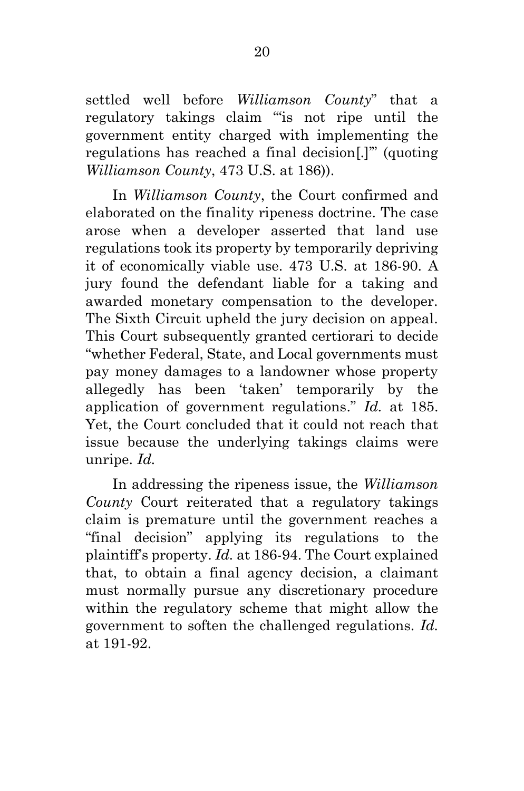settled well before *Williamson County*" that a regulatory takings claim "'is not ripe until the government entity charged with implementing the regulations has reached a final decision[.]'" (quoting *Williamson County*, 473 U.S. at 186)).

 In *Williamson County*, the Court confirmed and elaborated on the finality ripeness doctrine. The case arose when a developer asserted that land use regulations took its property by temporarily depriving it of economically viable use. 473 U.S. at 186-90. A jury found the defendant liable for a taking and awarded monetary compensation to the developer. The Sixth Circuit upheld the jury decision on appeal. This Court subsequently granted certiorari to decide "whether Federal, State, and Local governments must pay money damages to a landowner whose property allegedly has been 'taken' temporarily by the application of government regulations." *Id.* at 185. Yet, the Court concluded that it could not reach that issue because the underlying takings claims were unripe. *Id.*

 In addressing the ripeness issue, the *Williamson County* Court reiterated that a regulatory takings claim is premature until the government reaches a "final decision" applying its regulations to the plaintiff's property. *Id.* at 186-94. The Court explained that, to obtain a final agency decision, a claimant must normally pursue any discretionary procedure within the regulatory scheme that might allow the government to soften the challenged regulations. *Id.* at 191-92.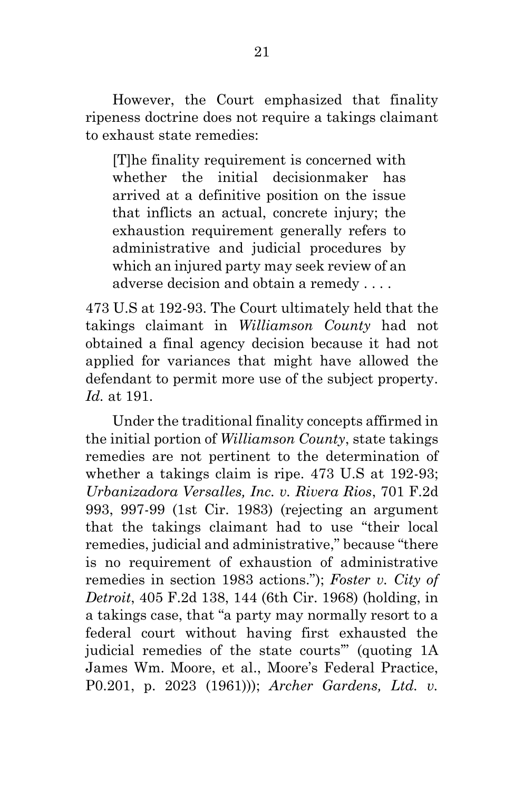However, the Court emphasized that finality ripeness doctrine does not require a takings claimant to exhaust state remedies:

[T]he finality requirement is concerned with whether the initial decisionmaker has arrived at a definitive position on the issue that inflicts an actual, concrete injury; the exhaustion requirement generally refers to administrative and judicial procedures by which an injured party may seek review of an adverse decision and obtain a remedy . . . .

473 U.S at 192-93. The Court ultimately held that the takings claimant in *Williamson County* had not obtained a final agency decision because it had not applied for variances that might have allowed the defendant to permit more use of the subject property. *Id.* at 191.

 Under the traditional finality concepts affirmed in the initial portion of *Williamson County*, state takings remedies are not pertinent to the determination of whether a takings claim is ripe. 473 U.S at 192-93; *Urbanizadora Versalles, Inc. v. Rivera Rios*, 701 F.2d 993, 997-99 (1st Cir. 1983) (rejecting an argument that the takings claimant had to use "their local remedies, judicial and administrative," because "there is no requirement of exhaustion of administrative remedies in section 1983 actions."); *Foster v. City of Detroit*, 405 F.2d 138, 144 (6th Cir. 1968) (holding, in a takings case, that "a party may normally resort to a federal court without having first exhausted the judicial remedies of the state courts'" (quoting 1A James Wm. Moore, et al., Moore's Federal Practice, P0.201, p. 2023 (1961))); *Archer Gardens, Ltd. v.*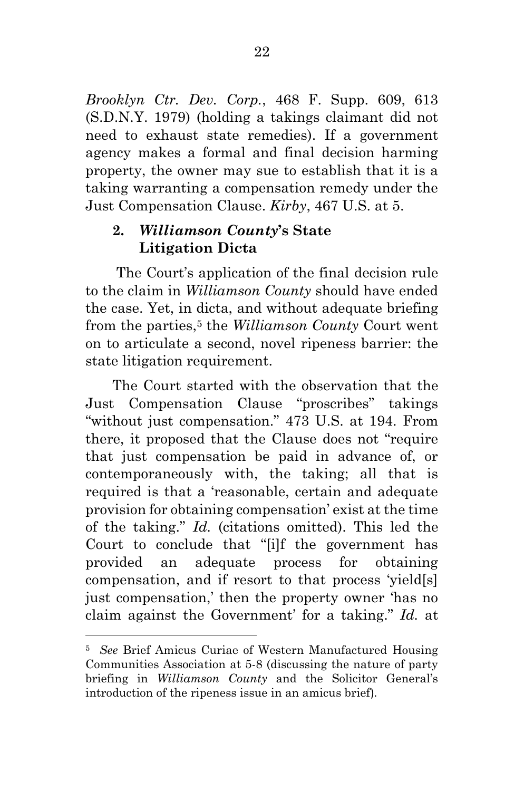*Brooklyn Ctr. Dev. Corp.*, 468 F. Supp. 609, 613 (S.D.N.Y. 1979) (holding a takings claimant did not need to exhaust state remedies). If a government agency makes a formal and final decision harming property, the owner may sue to establish that it is a taking warranting a compensation remedy under the Just Compensation Clause. *Kirby*, 467 U.S. at 5.

# **2.** *Williamson County***'s State Litigation Dicta**

 The Court's application of the final decision rule to the claim in *Williamson County* should have ended the case. Yet, in dicta, and without adequate briefing from the parties,5 the *Williamson County* Court went on to articulate a second, novel ripeness barrier: the state litigation requirement.

 The Court started with the observation that the Just Compensation Clause "proscribes" takings "without just compensation." 473 U.S. at 194. From there, it proposed that the Clause does not "require that just compensation be paid in advance of, or contemporaneously with, the taking; all that is required is that a 'reasonable, certain and adequate provision for obtaining compensation' exist at the time of the taking." *Id.* (citations omitted). This led the Court to conclude that "[i]f the government has provided an adequate process for obtaining compensation, and if resort to that process 'yield[s] just compensation,' then the property owner 'has no claim against the Government' for a taking." *Id.* at

<sup>5</sup> *See* Brief Amicus Curiae of Western Manufactured Housing Communities Association at 5-8 (discussing the nature of party briefing in *Williamson County* and the Solicitor General's introduction of the ripeness issue in an amicus brief).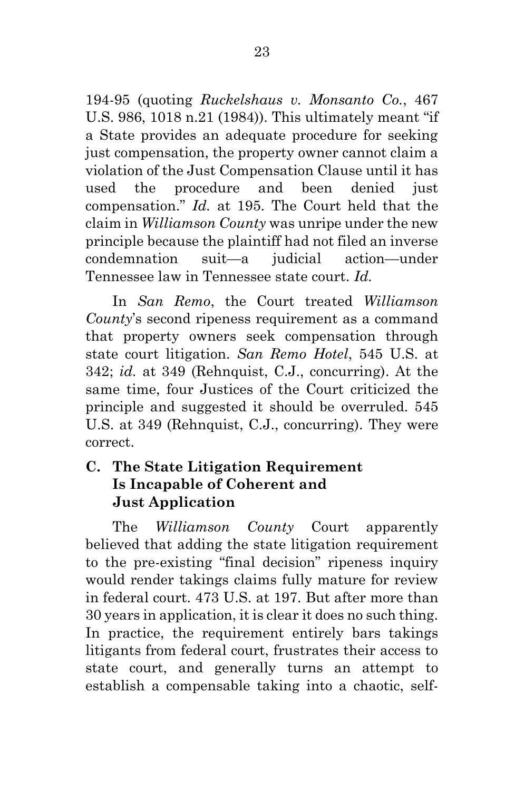194-95 (quoting *Ruckelshaus v. Monsanto Co.*, 467 U.S. 986, 1018 n.21 (1984)). This ultimately meant "if a State provides an adequate procedure for seeking just compensation, the property owner cannot claim a violation of the Just Compensation Clause until it has used the procedure and been denied just compensation." *Id.* at 195. The Court held that the claim in *Williamson County* was unripe under the new principle because the plaintiff had not filed an inverse condemnation suit—a judicial action—under Tennessee law in Tennessee state court. *Id.*

 In *San Remo*, the Court treated *Williamson County*'s second ripeness requirement as a command that property owners seek compensation through state court litigation. *San Remo Hotel*, 545 U.S. at 342; *id.* at 349 (Rehnquist, C.J., concurring). At the same time, four Justices of the Court criticized the principle and suggested it should be overruled. 545 U.S. at 349 (Rehnquist, C.J., concurring). They were correct.

## **C. The State Litigation Requirement Is Incapable of Coherent and Just Application**

The *Williamson County* Court apparently believed that adding the state litigation requirement to the pre-existing "final decision" ripeness inquiry would render takings claims fully mature for review in federal court. 473 U.S. at 197. But after more than 30 years in application, it is clear it does no such thing. In practice, the requirement entirely bars takings litigants from federal court, frustrates their access to state court, and generally turns an attempt to establish a compensable taking into a chaotic, self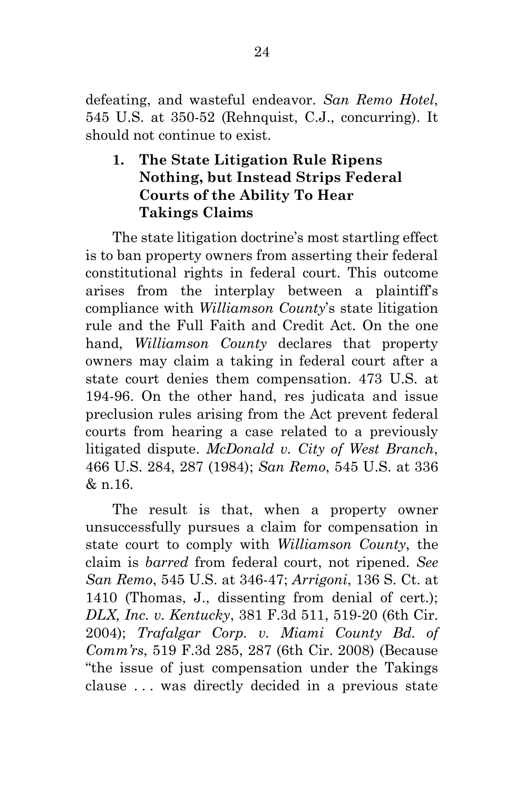defeating, and wasteful endeavor. *San Remo Hotel*, 545 U.S. at 350-52 (Rehnquist, C.J., concurring). It should not continue to exist.

## **1. The State Litigation Rule Ripens Nothing, but Instead Strips Federal Courts of the Ability To Hear Takings Claims**

The state litigation doctrine's most startling effect is to ban property owners from asserting their federal constitutional rights in federal court. This outcome arises from the interplay between a plaintiff's compliance with *Williamson County*'s state litigation rule and the Full Faith and Credit Act. On the one hand, *Williamson County* declares that property owners may claim a taking in federal court after a state court denies them compensation. 473 U.S. at 194-96. On the other hand, res judicata and issue preclusion rules arising from the Act prevent federal courts from hearing a case related to a previously litigated dispute. *McDonald v. City of West Branch*, 466 U.S. 284, 287 (1984); *San Remo*, 545 U.S. at 336 & n.16.

 The result is that, when a property owner unsuccessfully pursues a claim for compensation in state court to comply with *Williamson County*, the claim is *barred* from federal court, not ripened. *See San Remo*, 545 U.S. at 346-47; *Arrigoni*, 136 S. Ct. at 1410 (Thomas, J., dissenting from denial of cert.); *DLX, Inc. v. Kentucky*, 381 F.3d 511, 519-20 (6th Cir. 2004); *Trafalgar Corp. v. Miami County Bd. of Comm'rs*, 519 F.3d 285, 287 (6th Cir. 2008) (Because "the issue of just compensation under the Takings clause . . . was directly decided in a previous state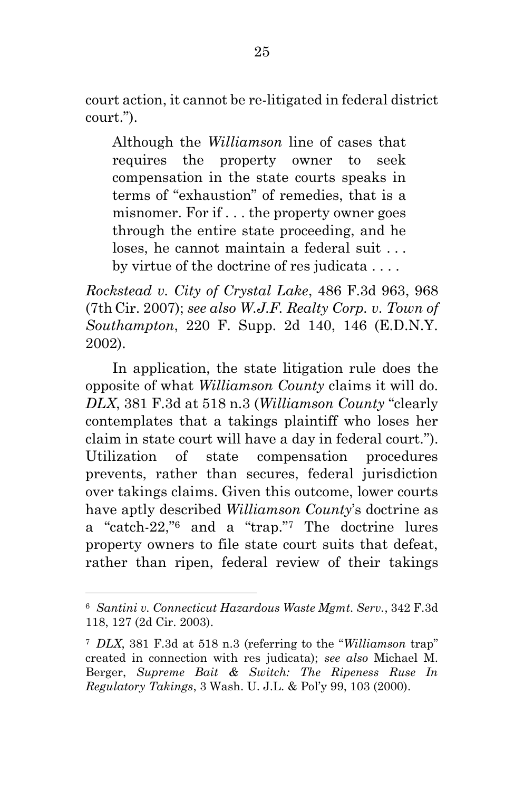court action, it cannot be re-litigated in federal district court.").

Although the *Williamson* line of cases that requires the property owner to seek compensation in the state courts speaks in terms of "exhaustion" of remedies, that is a misnomer. For if . . . the property owner goes through the entire state proceeding, and he loses, he cannot maintain a federal suit . . . by virtue of the doctrine of res judicata . . . .

*Rockstead v. City of Crystal Lake*, 486 F.3d 963, 968 (7th Cir. 2007); *see also W.J.F. Realty Corp. v. Town of Southampton*, 220 F. Supp. 2d 140, 146 (E.D.N.Y. 2002).

In application, the state litigation rule does the opposite of what *Williamson County* claims it will do. *DLX*, 381 F.3d at 518 n.3 (*Williamson County* "clearly contemplates that a takings plaintiff who loses her claim in state court will have a day in federal court."). Utilization of state compensation procedures prevents, rather than secures, federal jurisdiction over takings claims. Given this outcome, lower courts have aptly described *Williamson County*'s doctrine as a "catch-22," <sup>6</sup> and a "trap." <sup>7</sup> The doctrine lures property owners to file state court suits that defeat, rather than ripen, federal review of their takings

<sup>6</sup> *Santini v. Connecticut Hazardous Waste Mgmt. Serv.*, 342 F.3d 118, 127 (2d Cir. 2003).

<sup>7</sup> *DLX*, 381 F.3d at 518 n.3 (referring to the "*Williamson* trap" created in connection with res judicata); *see also* Michael M. Berger, *Supreme Bait & Switch: The Ripeness Ruse In Regulatory Takings*, 3 Wash. U. J.L. & Pol'y 99, 103 (2000).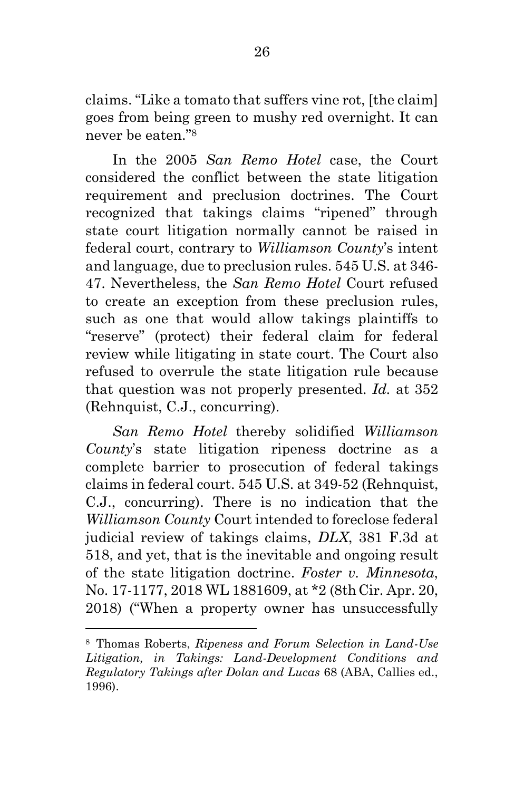claims. "Like a tomato that suffers vine rot, [the claim] goes from being green to mushy red overnight. It can never be eaten." 8

 In the 2005 *San Remo Hotel* case, the Court considered the conflict between the state litigation requirement and preclusion doctrines. The Court recognized that takings claims "ripened" through state court litigation normally cannot be raised in federal court, contrary to *Williamson County*'s intent and language, due to preclusion rules. 545 U.S. at 346- 47. Nevertheless, the *San Remo Hotel* Court refused to create an exception from these preclusion rules, such as one that would allow takings plaintiffs to "reserve" (protect) their federal claim for federal review while litigating in state court. The Court also refused to overrule the state litigation rule because that question was not properly presented. *Id.* at 352 (Rehnquist, C.J., concurring).

*San Remo Hotel* thereby solidified *Williamson County*'s state litigation ripeness doctrine as a complete barrier to prosecution of federal takings claims in federal court. 545 U.S. at 349-52 (Rehnquist, C.J., concurring). There is no indication that the *Williamson County* Court intended to foreclose federal judicial review of takings claims, *DLX*, 381 F.3d at 518, and yet, that is the inevitable and ongoing result of the state litigation doctrine. *Foster v. Minnesota*, No. 17-1177, 2018 WL 1881609, at \*2 (8th Cir. Apr. 20, 2018) ("When a property owner has unsuccessfully

<sup>8</sup> Thomas Roberts, *Ripeness and Forum Selection in Land-Use Litigation, in Takings: Land-Development Conditions and Regulatory Takings after Dolan and Lucas* 68 (ABA, Callies ed., 1996).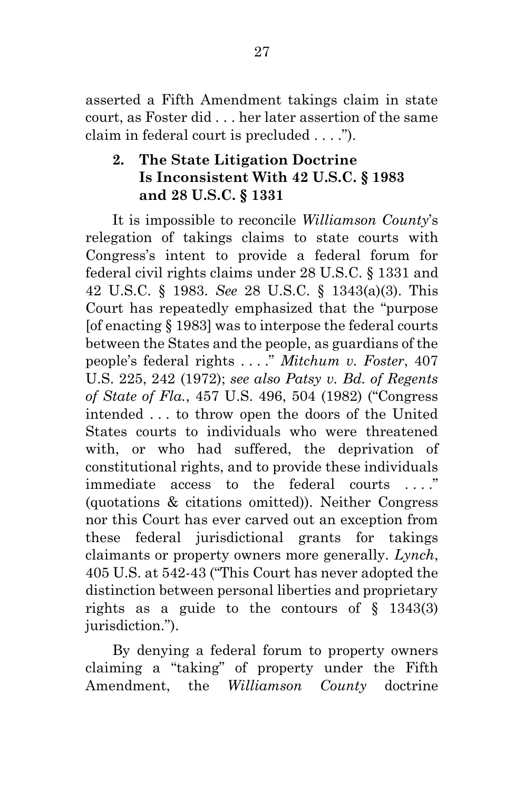asserted a Fifth Amendment takings claim in state court, as Foster did . . . her later assertion of the same claim in federal court is precluded . . . .").

# **2. The State Litigation Doctrine Is Inconsistent With 42 U.S.C. § 1983 and 28 U.S.C. § 1331**

 It is impossible to reconcile *Williamson County*'s relegation of takings claims to state courts with Congress's intent to provide a federal forum for federal civil rights claims under 28 U.S.C. § 1331 and 42 U.S.C. § 1983. *See* 28 U.S.C. § 1343(a)(3). This Court has repeatedly emphasized that the "purpose [of enacting § 1983] was to interpose the federal courts between the States and the people, as guardians of the people's federal rights . . . ." *Mitchum v. Foster*, 407 U.S. 225, 242 (1972); *see also Patsy v. Bd. of Regents of State of Fla.*, 457 U.S. 496, 504 (1982) ("Congress intended . . . to throw open the doors of the United States courts to individuals who were threatened with, or who had suffered, the deprivation of constitutional rights, and to provide these individuals immediate access to the federal courts . . . ." (quotations & citations omitted)). Neither Congress nor this Court has ever carved out an exception from these federal jurisdictional grants for takings claimants or property owners more generally. *Lynch*, 405 U.S. at 542-43 ("This Court has never adopted the distinction between personal liberties and proprietary rights as a guide to the contours of § 1343(3) jurisdiction.").

By denying a federal forum to property owners claiming a "taking" of property under the Fifth Amendment, the *Williamson County* doctrine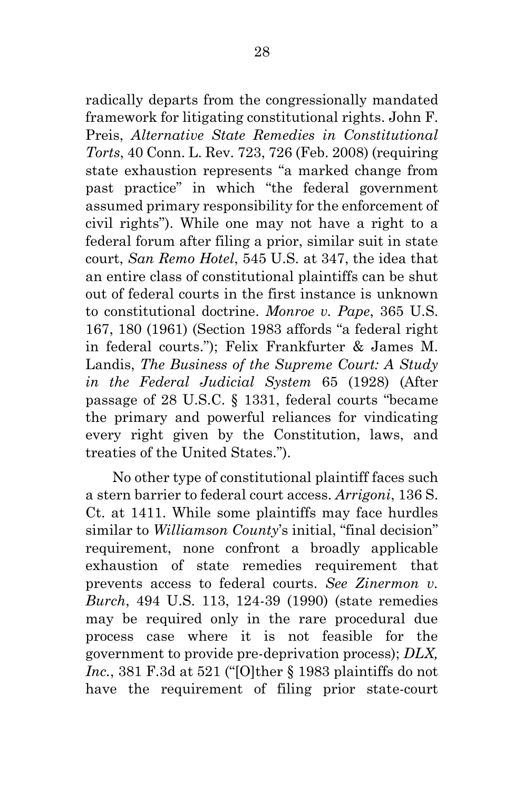radically departs from the congressionally mandated framework for litigating constitutional rights. John F. Preis, *Alternative State Remedies in Constitutional Torts*, 40 Conn. L. Rev. 723, 726 (Feb. 2008) (requiring state exhaustion represents "a marked change from past practice" in which "the federal government assumed primary responsibility for the enforcement of civil rights"). While one may not have a right to a federal forum after filing a prior, similar suit in state court, *San Remo Hotel*, 545 U.S. at 347, the idea that an entire class of constitutional plaintiffs can be shut out of federal courts in the first instance is unknown to constitutional doctrine. *Monroe v. Pape*, 365 U.S. 167, 180 (1961) (Section 1983 affords "a federal right in federal courts."); Felix Frankfurter & James M. Landis, *The Business of the Supreme Court: A Study in the Federal Judicial System* 65 (1928) (After passage of 28 U.S.C. § 1331, federal courts "became the primary and powerful reliances for vindicating every right given by the Constitution, laws, and treaties of the United States.").

 No other type of constitutional plaintiff faces such a stern barrier to federal court access. *Arrigoni*, 136 S. Ct. at 1411. While some plaintiffs may face hurdles similar to *Williamson County*'s initial, "final decision" requirement, none confront a broadly applicable exhaustion of state remedies requirement that prevents access to federal courts. *See Zinermon v. Burch*, 494 U.S. 113, 124-39 (1990) (state remedies may be required only in the rare procedural due process case where it is not feasible for the government to provide pre-deprivation process); *DLX, Inc.*, 381 F.3d at 521 ("[O]ther § 1983 plaintiffs do not have the requirement of filing prior state-court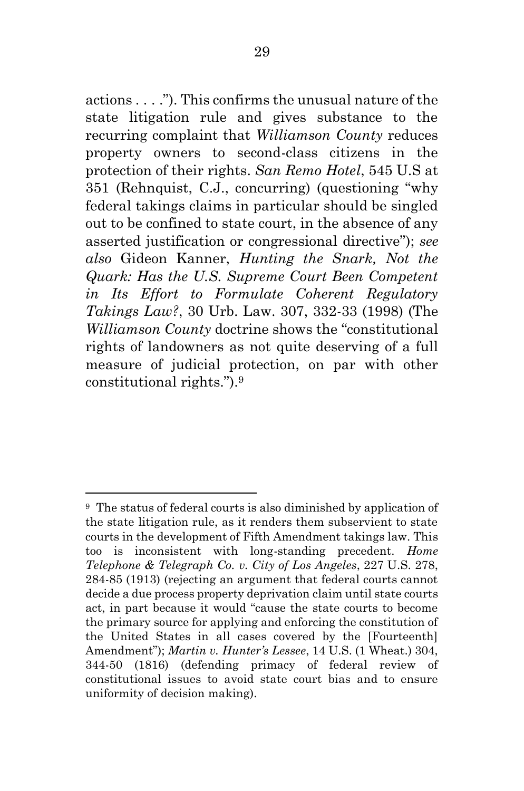actions . . . ."). This confirms the unusual nature of the state litigation rule and gives substance to the recurring complaint that *Williamson County* reduces property owners to second-class citizens in the protection of their rights. *San Remo Hotel*, 545 U.S at 351 (Rehnquist, C.J., concurring) (questioning "why federal takings claims in particular should be singled out to be confined to state court, in the absence of any asserted justification or congressional directive"); *see also* Gideon Kanner, *Hunting the Snark, Not the Quark: Has the U.S. Supreme Court Been Competent in Its Effort to Formulate Coherent Regulatory Takings Law?*, 30 Urb. Law. 307, 332-33 (1998) (The *Williamson County* doctrine shows the "constitutional rights of landowners as not quite deserving of a full measure of judicial protection, on par with other constitutional rights.").<sup>9</sup>

<sup>9</sup> The status of federal courts is also diminished by application of the state litigation rule, as it renders them subservient to state courts in the development of Fifth Amendment takings law. This too is inconsistent with long-standing precedent. *Home Telephone & Telegraph Co. v. City of Los Angeles*, 227 U.S. 278, 284-85 (1913) (rejecting an argument that federal courts cannot decide a due process property deprivation claim until state courts act, in part because it would "cause the state courts to become the primary source for applying and enforcing the constitution of the United States in all cases covered by the [Fourteenth] Amendment"); *Martin v. Hunter's Lessee*, 14 U.S. (1 Wheat.) 304, 344-50 (1816) (defending primacy of federal review of constitutional issues to avoid state court bias and to ensure uniformity of decision making).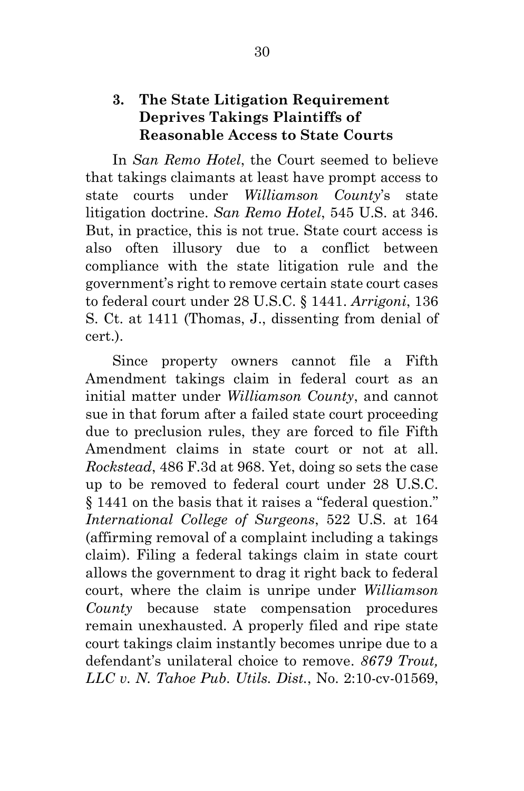### **3. The State Litigation Requirement Deprives Takings Plaintiffs of Reasonable Access to State Courts**

 In *San Remo Hotel*, the Court seemed to believe that takings claimants at least have prompt access to state courts under *Williamson County*'s state litigation doctrine. *San Remo Hotel*, 545 U.S. at 346. But, in practice, this is not true. State court access is also often illusory due to a conflict between compliance with the state litigation rule and the government's right to remove certain state court cases to federal court under 28 U.S.C. § 1441. *Arrigoni*, 136 S. Ct. at 1411 (Thomas, J., dissenting from denial of cert.).

 Since property owners cannot file a Fifth Amendment takings claim in federal court as an initial matter under *Williamson County*, and cannot sue in that forum after a failed state court proceeding due to preclusion rules, they are forced to file Fifth Amendment claims in state court or not at all. *Rockstead*, 486 F.3d at 968. Yet, doing so sets the case up to be removed to federal court under 28 U.S.C. § 1441 on the basis that it raises a "federal question." *International College of Surgeons*, 522 U.S. at 164 (affirming removal of a complaint including a takings claim). Filing a federal takings claim in state court allows the government to drag it right back to federal court, where the claim is unripe under *Williamson County* because state compensation procedures remain unexhausted. A properly filed and ripe state court takings claim instantly becomes unripe due to a defendant's unilateral choice to remove. *8679 Trout, LLC v. N. Tahoe Pub. Utils. Dist.*, No. 2:10-cv-01569,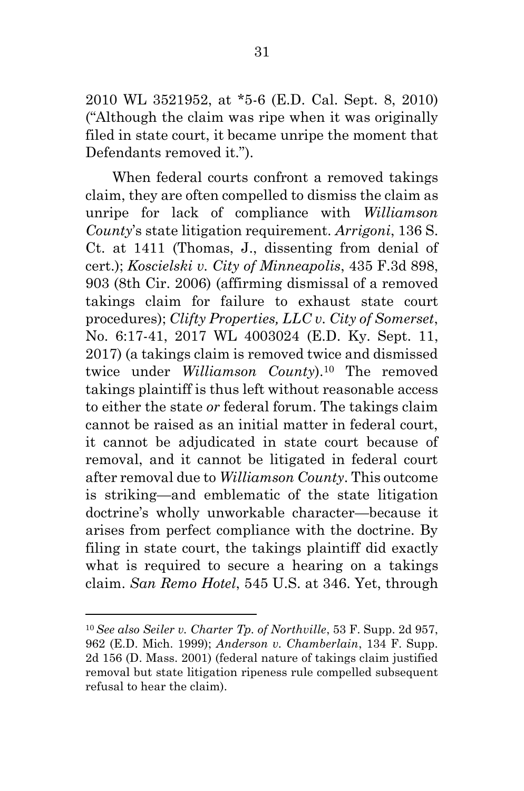2010 WL 3521952, at \*5-6 (E.D. Cal. Sept. 8, 2010) ("Although the claim was ripe when it was originally filed in state court, it became unripe the moment that Defendants removed it.").

 When federal courts confront a removed takings claim, they are often compelled to dismiss the claim as unripe for lack of compliance with *Williamson County*'s state litigation requirement. *Arrigoni*, 136 S. Ct. at 1411 (Thomas, J., dissenting from denial of cert.); *Koscielski v. City of Minneapolis*, 435 F.3d 898, 903 (8th Cir. 2006) (affirming dismissal of a removed takings claim for failure to exhaust state court procedures); *Clifty Properties, LLC v. City of Somerset*, No. 6:17-41, 2017 WL 4003024 (E.D. Ky. Sept. 11, 2017) (a takings claim is removed twice and dismissed twice under *Williamson County*).10 The removed takings plaintiff is thus left without reasonable access to either the state *or* federal forum. The takings claim cannot be raised as an initial matter in federal court, it cannot be adjudicated in state court because of removal, and it cannot be litigated in federal court after removal due to *Williamson County*. This outcome is striking—and emblematic of the state litigation doctrine's wholly unworkable character—because it arises from perfect compliance with the doctrine. By filing in state court, the takings plaintiff did exactly what is required to secure a hearing on a takings claim. *San Remo Hotel*, 545 U.S. at 346. Yet, through

<sup>10</sup> *See also Seiler v. Charter Tp. of Northville*, 53 F. Supp. 2d 957, 962 (E.D. Mich. 1999); *Anderson v. Chamberlain*, 134 F. Supp. 2d 156 (D. Mass. 2001) (federal nature of takings claim justified removal but state litigation ripeness rule compelled subsequent refusal to hear the claim).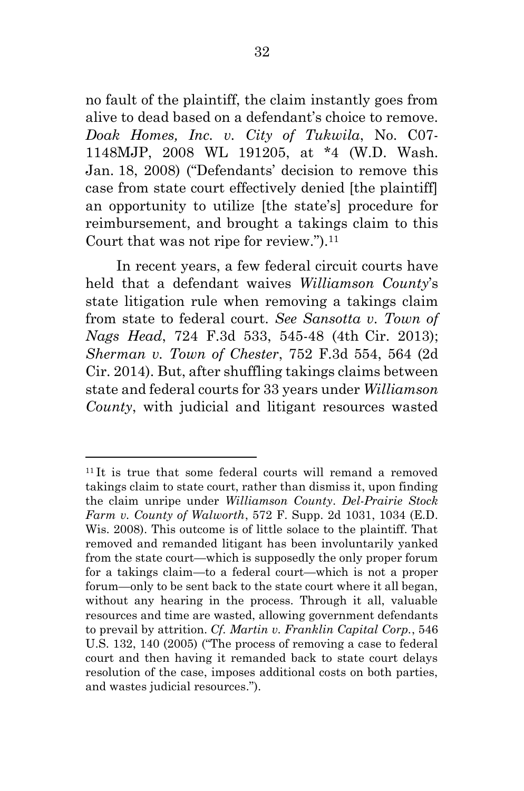no fault of the plaintiff, the claim instantly goes from alive to dead based on a defendant's choice to remove. *Doak Homes, Inc. v. City of Tukwila*, No. C07- 1148MJP, 2008 WL 191205, at \*4 (W.D. Wash. Jan. 18, 2008) ("Defendants' decision to remove this case from state court effectively denied [the plaintiff] an opportunity to utilize [the state's] procedure for reimbursement, and brought a takings claim to this Court that was not ripe for review.").<sup>11</sup>

 In recent years, a few federal circuit courts have held that a defendant waives *Williamson County*'s state litigation rule when removing a takings claim from state to federal court. *See Sansotta v. Town of Nags Head*, 724 F.3d 533, 545-48 (4th Cir. 2013); *Sherman v. Town of Chester*, 752 F.3d 554, 564 (2d Cir. 2014). But, after shuffling takings claims between state and federal courts for 33 years under *Williamson County*, with judicial and litigant resources wasted

<sup>&</sup>lt;sup>11</sup>It is true that some federal courts will remand a removed takings claim to state court, rather than dismiss it, upon finding the claim unripe under *Williamson County*. *Del-Prairie Stock Farm v. County of Walworth*, 572 F. Supp. 2d 1031, 1034 (E.D. Wis. 2008). This outcome is of little solace to the plaintiff. That removed and remanded litigant has been involuntarily yanked from the state court—which is supposedly the only proper forum for a takings claim—to a federal court—which is not a proper forum—only to be sent back to the state court where it all began, without any hearing in the process. Through it all, valuable resources and time are wasted, allowing government defendants to prevail by attrition. *Cf. Martin v. Franklin Capital Corp.*, 546 U.S. 132, 140 (2005) ("The process of removing a case to federal court and then having it remanded back to state court delays resolution of the case, imposes additional costs on both parties, and wastes judicial resources.").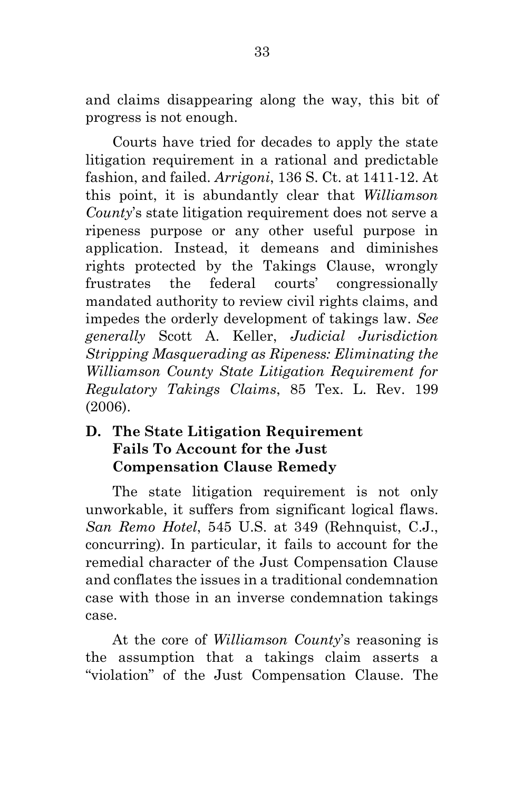and claims disappearing along the way, this bit of progress is not enough.

 Courts have tried for decades to apply the state litigation requirement in a rational and predictable fashion, and failed. *Arrigoni*, 136 S. Ct. at 1411-12. At this point, it is abundantly clear that *Williamson County*'s state litigation requirement does not serve a ripeness purpose or any other useful purpose in application. Instead, it demeans and diminishes rights protected by the Takings Clause, wrongly frustrates the federal courts' congressionally mandated authority to review civil rights claims, and impedes the orderly development of takings law. *See generally* Scott A. Keller, *Judicial Jurisdiction Stripping Masquerading as Ripeness: Eliminating the Williamson County State Litigation Requirement for Regulatory Takings Claims*, 85 Tex. L. Rev. 199 (2006).

# **D. The State Litigation Requirement Fails To Account for the Just Compensation Clause Remedy**

 The state litigation requirement is not only unworkable, it suffers from significant logical flaws. *San Remo Hotel*, 545 U.S. at 349 (Rehnquist, C.J., concurring). In particular, it fails to account for the remedial character of the Just Compensation Clause and conflates the issues in a traditional condemnation case with those in an inverse condemnation takings case.

 At the core of *Williamson County*'s reasoning is the assumption that a takings claim asserts a "violation" of the Just Compensation Clause. The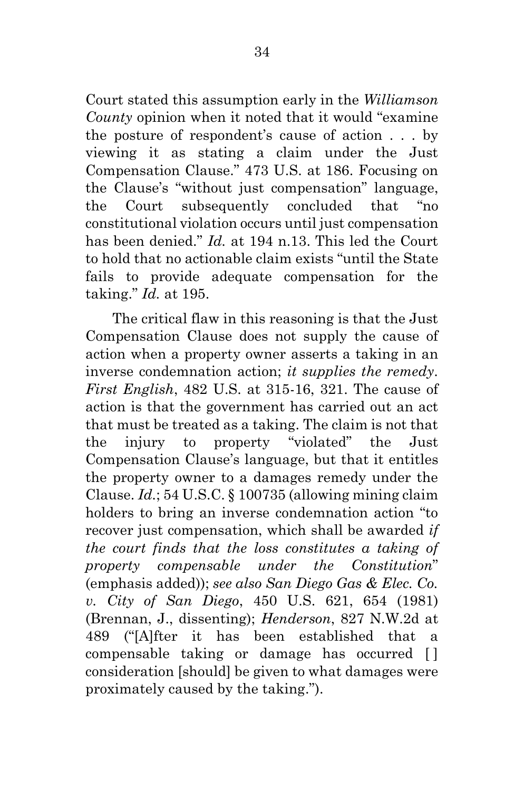Court stated this assumption early in the *Williamson County* opinion when it noted that it would "examine the posture of respondent's cause of action . . . by viewing it as stating a claim under the Just Compensation Clause." 473 U.S. at 186. Focusing on the Clause's "without just compensation" language, the Court subsequently concluded that "no constitutional violation occurs until just compensation has been denied." *Id.* at 194 n.13. This led the Court to hold that no actionable claim exists "until the State fails to provide adequate compensation for the taking." *Id.* at 195.

 The critical flaw in this reasoning is that the Just Compensation Clause does not supply the cause of action when a property owner asserts a taking in an inverse condemnation action; *it supplies the remedy*. *First English*, 482 U.S. at 315-16, 321. The cause of action is that the government has carried out an act that must be treated as a taking. The claim is not that the injury to property "violated" the Just Compensation Clause's language, but that it entitles the property owner to a damages remedy under the Clause. *Id.*; 54 U.S.C. § 100735 (allowing mining claim holders to bring an inverse condemnation action "to recover just compensation, which shall be awarded *if the court finds that the loss constitutes a taking of property compensable under the Constitution*" (emphasis added)); *see also San Diego Gas & Elec. Co. v. City of San Diego*, 450 U.S. 621, 654 (1981) (Brennan, J., dissenting); *Henderson*, 827 N.W.2d at 489 ("[A]fter it has been established that a compensable taking or damage has occurred [ ] consideration [should] be given to what damages were proximately caused by the taking.").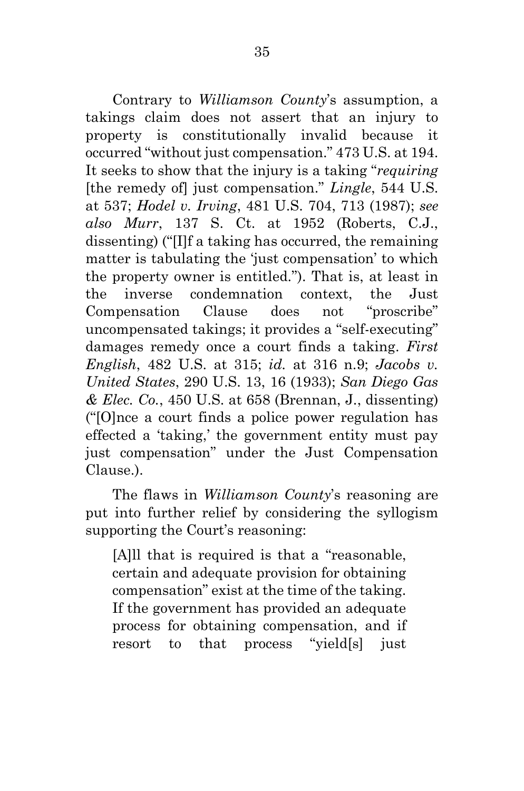Contrary to *Williamson County*'s assumption, a takings claim does not assert that an injury to property is constitutionally invalid because it occurred "without just compensation." 473 U.S. at 194. It seeks to show that the injury is a taking "*requiring* [the remedy of] just compensation." *Lingle*, 544 U.S. at 537; *Hodel v. Irving*, 481 U.S. 704, 713 (1987); *see also Murr*, 137 S. Ct. at 1952 (Roberts, C.J., dissenting) ("[I]f a taking has occurred, the remaining matter is tabulating the 'just compensation' to which the property owner is entitled."). That is, at least in the inverse condemnation context, the Just Compensation Clause does not "proscribe" uncompensated takings; it provides a "self-executing" damages remedy once a court finds a taking. *First English*, 482 U.S. at 315; *id.* at 316 n.9; *Jacobs v. United States*, 290 U.S. 13, 16 (1933); *San Diego Gas & Elec. Co.*, 450 U.S. at 658 (Brennan, J., dissenting) ("[O]nce a court finds a police power regulation has effected a 'taking,' the government entity must pay just compensation" under the Just Compensation Clause.).

 The flaws in *Williamson County*'s reasoning are put into further relief by considering the syllogism supporting the Court's reasoning:

[A]ll that is required is that a "reasonable, certain and adequate provision for obtaining compensation" exist at the time of the taking. If the government has provided an adequate process for obtaining compensation, and if resort to that process "yield[s] just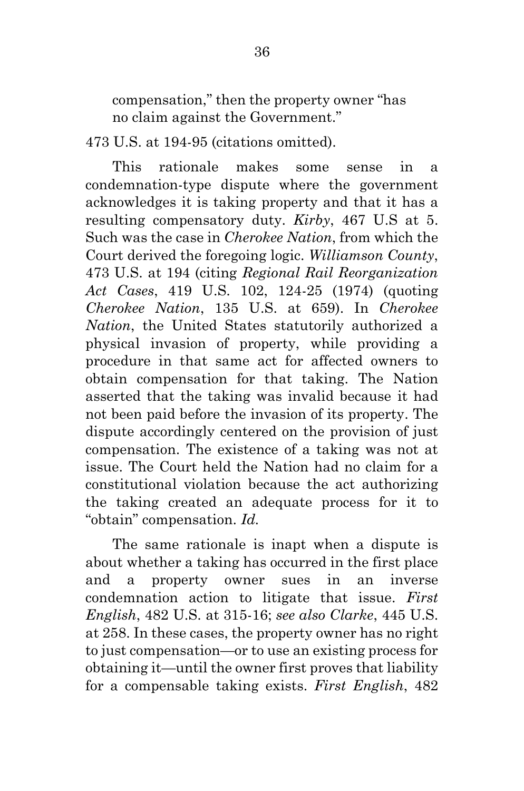compensation," then the property owner "has no claim against the Government."

473 U.S. at 194-95 (citations omitted).

 This rationale makes some sense in a condemnation-type dispute where the government acknowledges it is taking property and that it has a resulting compensatory duty. *Kirby*, 467 U.S at 5. Such was the case in *Cherokee Nation*, from which the Court derived the foregoing logic. *Williamson County*, 473 U.S. at 194 (citing *Regional Rail Reorganization Act Cases*, 419 U.S. 102, 124-25 (1974) (quoting *Cherokee Nation*, 135 U.S. at 659). In *Cherokee Nation*, the United States statutorily authorized a physical invasion of property, while providing a procedure in that same act for affected owners to obtain compensation for that taking. The Nation asserted that the taking was invalid because it had not been paid before the invasion of its property. The dispute accordingly centered on the provision of just compensation. The existence of a taking was not at issue. The Court held the Nation had no claim for a constitutional violation because the act authorizing the taking created an adequate process for it to "obtain" compensation. *Id.*

 The same rationale is inapt when a dispute is about whether a taking has occurred in the first place and a property owner sues in an inverse condemnation action to litigate that issue. *First English*, 482 U.S. at 315-16; *see also Clarke*, 445 U.S. at 258. In these cases, the property owner has no right to just compensation—or to use an existing process for obtaining it—until the owner first proves that liability for a compensable taking exists. *First English*, 482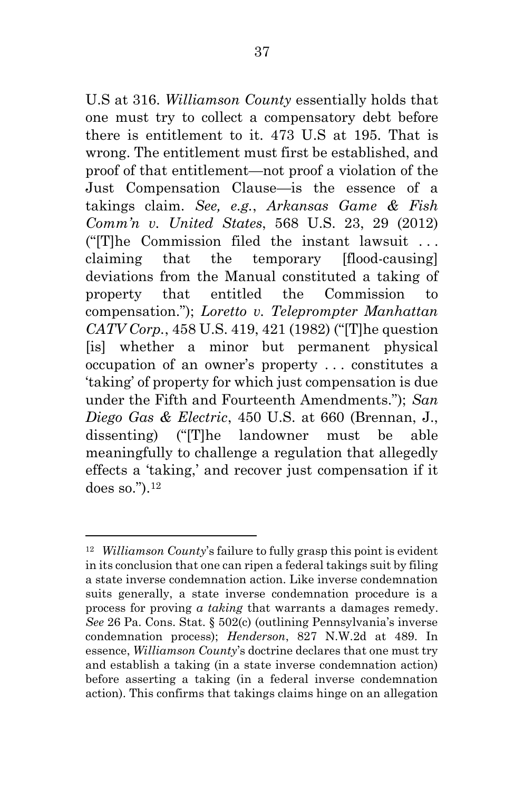U.S at 316. *Williamson County* essentially holds that one must try to collect a compensatory debt before there is entitlement to it. 473 U.S at 195. That is wrong. The entitlement must first be established, and proof of that entitlement—not proof a violation of the Just Compensation Clause—is the essence of a takings claim. *See, e.g.*, *Arkansas Game & Fish Comm'n v. United States*, 568 U.S. 23, 29 (2012) ("[T]he Commission filed the instant lawsuit . . . claiming that the temporary [flood-causing] deviations from the Manual constituted a taking of property that entitled the Commission to compensation."); *Loretto v. Teleprompter Manhattan CATV Corp.*, 458 U.S. 419, 421 (1982) ("[T]he question [is] whether a minor but permanent physical occupation of an owner's property . . . constitutes a 'taking' of property for which just compensation is due under the Fifth and Fourteenth Amendments."); *San Diego Gas & Electric*, 450 U.S. at 660 (Brennan, J., dissenting) ("[T]he landowner must be able meaningfully to challenge a regulation that allegedly effects a 'taking,' and recover just compensation if it does so."). <sup>12</sup>

<sup>12</sup> *Williamson County*'s failure to fully grasp this point is evident in its conclusion that one can ripen a federal takings suit by filing a state inverse condemnation action. Like inverse condemnation suits generally, a state inverse condemnation procedure is a process for proving *a taking* that warrants a damages remedy. *See* 26 Pa. Cons. Stat. § 502(c) (outlining Pennsylvania's inverse condemnation process); *Henderson*, 827 N.W.2d at 489. In essence, *Williamson County*'s doctrine declares that one must try and establish a taking (in a state inverse condemnation action) before asserting a taking (in a federal inverse condemnation action). This confirms that takings claims hinge on an allegation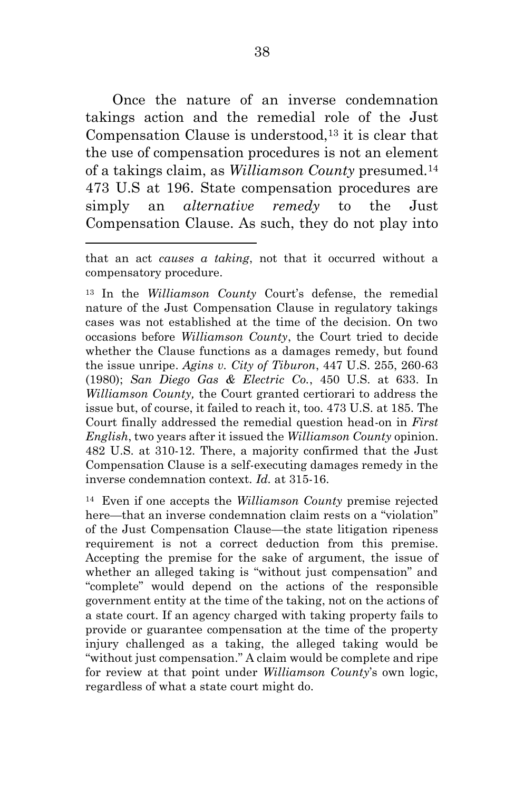Once the nature of an inverse condemnation takings action and the remedial role of the Just Compensation Clause is understood,13 it is clear that the use of compensation procedures is not an element of a takings claim, as *Williamson County* presumed.<sup>14</sup> 473 U.S at 196. State compensation procedures are simply an *alternative remedy* to the Just Compensation Clause. As such, they do not play into

 $\overline{a}$ 

<sup>13</sup> In the *Williamson County* Court's defense, the remedial nature of the Just Compensation Clause in regulatory takings cases was not established at the time of the decision. On two occasions before *Williamson County*, the Court tried to decide whether the Clause functions as a damages remedy, but found the issue unripe. *Agins v. City of Tiburon*, 447 U.S. 255, 260-63 (1980); *San Diego Gas & Electric Co.*, 450 U.S. at 633. In *Williamson County,* the Court granted certiorari to address the issue but, of course, it failed to reach it, too. 473 U.S. at 185. The Court finally addressed the remedial question head-on in *First English*, two years after it issued the *Williamson County* opinion. 482 U.S. at 310-12. There, a majority confirmed that the Just Compensation Clause is a self-executing damages remedy in the inverse condemnation context. *Id.* at 315-16.

<sup>14</sup> Even if one accepts the *Williamson County* premise rejected here—that an inverse condemnation claim rests on a "violation" of the Just Compensation Clause—the state litigation ripeness requirement is not a correct deduction from this premise. Accepting the premise for the sake of argument, the issue of whether an alleged taking is "without just compensation" and "complete" would depend on the actions of the responsible government entity at the time of the taking, not on the actions of a state court. If an agency charged with taking property fails to provide or guarantee compensation at the time of the property injury challenged as a taking, the alleged taking would be "without just compensation." A claim would be complete and ripe for review at that point under *Williamson County*'s own logic, regardless of what a state court might do.

that an act *causes a taking*, not that it occurred without a compensatory procedure.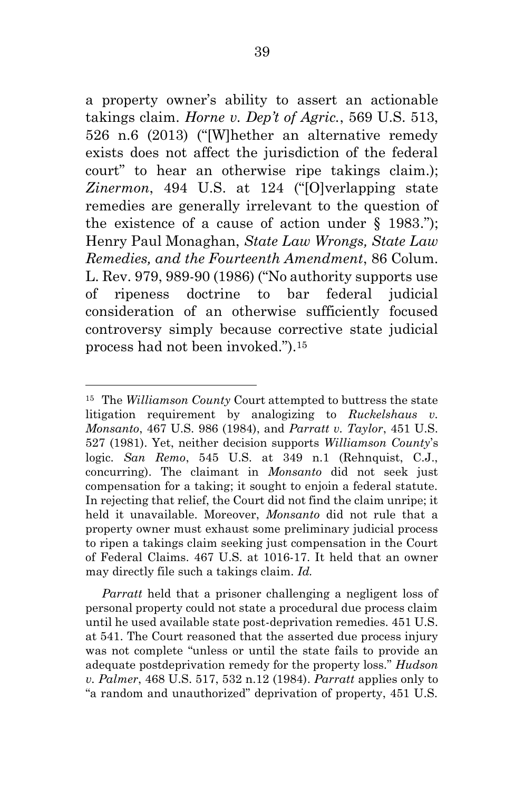a property owner's ability to assert an actionable takings claim. *Horne v. Dep't of Agric.*, 569 U.S. 513, 526 n.6 (2013) ("[W]hether an alternative remedy exists does not affect the jurisdiction of the federal court" to hear an otherwise ripe takings claim.); *Zinermon*, 494 U.S. at 124 ("[O]verlapping state remedies are generally irrelevant to the question of the existence of a cause of action under  $\S$  1983."); Henry Paul Monaghan, *State Law Wrongs, State Law Remedies, and the Fourteenth Amendment*, 86 Colum. L. Rev. 979, 989-90 (1986) ("No authority supports use of ripeness doctrine to bar federal judicial consideration of an otherwise sufficiently focused controversy simply because corrective state judicial process had not been invoked.").<sup>15</sup>

 $\overline{a}$ 

 *Parratt* held that a prisoner challenging a negligent loss of personal property could not state a procedural due process claim until he used available state post-deprivation remedies. 451 U.S. at 541. The Court reasoned that the asserted due process injury was not complete "unless or until the state fails to provide an adequate postdeprivation remedy for the property loss." *Hudson v. Palmer*, 468 U.S. 517, 532 n.12 (1984). *Parratt* applies only to "a random and unauthorized" deprivation of property, 451 U.S.

<sup>15</sup> The *Williamson County* Court attempted to buttress the state litigation requirement by analogizing to *Ruckelshaus v. Monsanto*, 467 U.S. 986 (1984), and *Parratt v. Taylor*, 451 U.S. 527 (1981). Yet, neither decision supports *Williamson County*'s logic. *San Remo*, 545 U.S. at 349 n.1 (Rehnquist, C.J., concurring). The claimant in *Monsanto* did not seek just compensation for a taking; it sought to enjoin a federal statute. In rejecting that relief, the Court did not find the claim unripe; it held it unavailable. Moreover, *Monsanto* did not rule that a property owner must exhaust some preliminary judicial process to ripen a takings claim seeking just compensation in the Court of Federal Claims. 467 U.S. at 1016-17. It held that an owner may directly file such a takings claim. *Id.*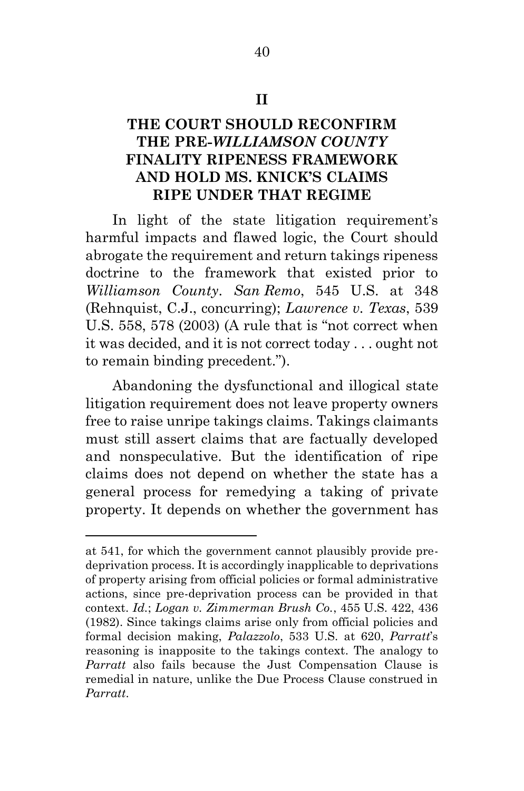# **THE COURT SHOULD RECONFIRM THE PRE-***WILLIAMSON COUNTY*  **FINALITY RIPENESS FRAMEWORK AND HOLD MS. KNICK'S CLAIMS RIPE UNDER THAT REGIME**

 In light of the state litigation requirement's harmful impacts and flawed logic, the Court should abrogate the requirement and return takings ripeness doctrine to the framework that existed prior to *Williamson County*. *San Remo*, 545 U.S. at 348 (Rehnquist, C.J., concurring); *Lawrence v. Texas*, 539 U.S. 558, 578 (2003) (A rule that is "not correct when it was decided, and it is not correct today . . . ought not to remain binding precedent.").

 Abandoning the dysfunctional and illogical state litigation requirement does not leave property owners free to raise unripe takings claims. Takings claimants must still assert claims that are factually developed and nonspeculative. But the identification of ripe claims does not depend on whether the state has a general process for remedying a taking of private property. It depends on whether the government has

at 541, for which the government cannot plausibly provide predeprivation process. It is accordingly inapplicable to deprivations of property arising from official policies or formal administrative actions, since pre-deprivation process can be provided in that context. *Id.*; *Logan v. Zimmerman Brush Co.*, 455 U.S. 422, 436 (1982). Since takings claims arise only from official policies and formal decision making, *Palazzolo*, 533 U.S. at 620, *Parratt*'s reasoning is inapposite to the takings context. The analogy to *Parratt* also fails because the Just Compensation Clause is remedial in nature, unlike the Due Process Clause construed in *Parratt*.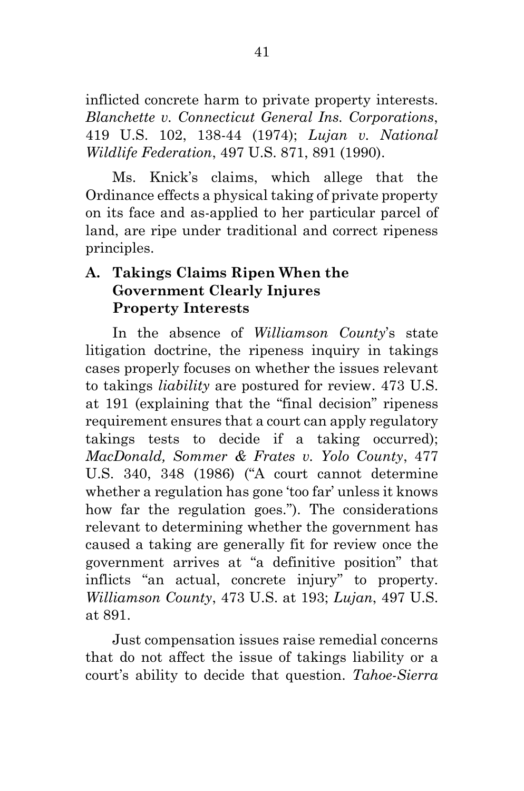inflicted concrete harm to private property interests. *Blanchette v. Connecticut General Ins. Corporations*, 419 U.S. 102, 138-44 (1974); *Lujan v. National Wildlife Federation*, 497 U.S. 871, 891 (1990).

Ms. Knick's claims, which allege that the Ordinance effects a physical taking of private property on its face and as-applied to her particular parcel of land, are ripe under traditional and correct ripeness principles.

## **A. Takings Claims Ripen When the Government Clearly Injures Property Interests**

In the absence of *Williamson County*'s state litigation doctrine, the ripeness inquiry in takings cases properly focuses on whether the issues relevant to takings *liability* are postured for review. 473 U.S. at 191 (explaining that the "final decision" ripeness requirement ensures that a court can apply regulatory takings tests to decide if a taking occurred); *MacDonald, Sommer & Frates v. Yolo County*, 477 U.S. 340, 348 (1986) ("A court cannot determine whether a regulation has gone 'too far' unless it knows how far the regulation goes."). The considerations relevant to determining whether the government has caused a taking are generally fit for review once the government arrives at "a definitive position" that inflicts "an actual, concrete injury" to property. *Williamson County*, 473 U.S. at 193; *Lujan*, 497 U.S. at 891.

Just compensation issues raise remedial concerns that do not affect the issue of takings liability or a court's ability to decide that question. *Tahoe-Sierra*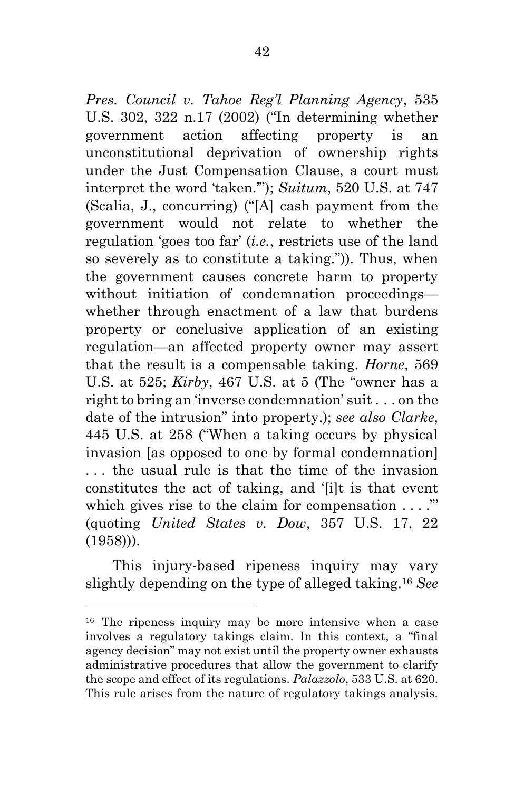*Pres. Council v. Tahoe Reg'l Planning Agency*, 535 U.S. 302, 322 n.17 (2002) ("In determining whether government action affecting property is an unconstitutional deprivation of ownership rights under the Just Compensation Clause, a court must interpret the word 'taken.'"); *Suitum*, 520 U.S. at 747 (Scalia, J., concurring) ("[A] cash payment from the government would not relate to whether the regulation 'goes too far' (*i.e.*, restricts use of the land so severely as to constitute a taking.")). Thus, when the government causes concrete harm to property without initiation of condemnation proceedings whether through enactment of a law that burdens property or conclusive application of an existing regulation—an affected property owner may assert that the result is a compensable taking. *Horne*, 569 U.S. at 525; *Kirby*, 467 U.S. at 5 (The "owner has a right to bring an 'inverse condemnation' suit . . . on the date of the intrusion" into property.); *see also Clarke*, 445 U.S. at 258 ("When a taking occurs by physical invasion [as opposed to one by formal condemnation] . . . the usual rule is that the time of the invasion constitutes the act of taking, and '[i]t is that event which gives rise to the claim for compensation . . . ." (quoting *United States v. Dow*, 357 U.S. 17, 22 (1958))).

 This injury-based ripeness inquiry may vary slightly depending on the type of alleged taking.<sup>16</sup> *See* 

<sup>16</sup> The ripeness inquiry may be more intensive when a case involves a regulatory takings claim. In this context, a "final agency decision" may not exist until the property owner exhausts administrative procedures that allow the government to clarify the scope and effect of its regulations. *Palazzolo*, 533 U.S. at 620. This rule arises from the nature of regulatory takings analysis.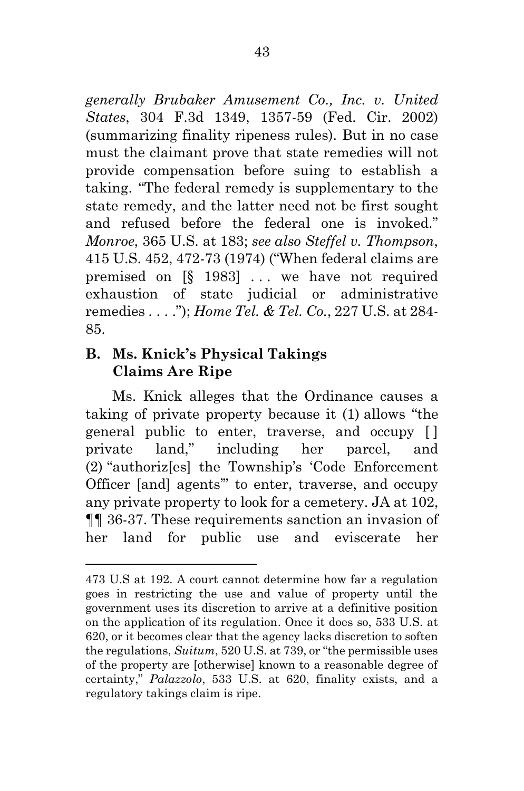*generally Brubaker Amusement Co., Inc. v. United States*, 304 F.3d 1349, 1357-59 (Fed. Cir. 2002) (summarizing finality ripeness rules). But in no case must the claimant prove that state remedies will not provide compensation before suing to establish a taking. "The federal remedy is supplementary to the state remedy, and the latter need not be first sought and refused before the federal one is invoked." *Monroe*, 365 U.S. at 183; *see also Steffel v. Thompson*, 415 U.S. 452, 472-73 (1974) ("When federal claims are premised on  $[\S 1983]$  ... we have not required exhaustion of state judicial or administrative remedies . . . ."); *Home Tel. & Tel. Co.*, 227 U.S. at 284- 85.

### **B. Ms. Knick's Physical Takings Claims Are Ripe**

 $\overline{a}$ 

 Ms. Knick alleges that the Ordinance causes a taking of private property because it (1) allows "the general public to enter, traverse, and occupy [ ] private land," including her parcel, and (2) "authoriz[es] the Township's 'Code Enforcement Officer [and] agents'" to enter, traverse, and occupy any private property to look for a cemetery. JA at 102, ¶¶ 36-37. These requirements sanction an invasion of her land for public use and eviscerate her

<sup>473</sup> U.S at 192. A court cannot determine how far a regulation goes in restricting the use and value of property until the government uses its discretion to arrive at a definitive position on the application of its regulation. Once it does so, 533 U.S. at 620, or it becomes clear that the agency lacks discretion to soften the regulations, *Suitum*, 520 U.S. at 739, or "the permissible uses of the property are [otherwise] known to a reasonable degree of certainty," *Palazzolo*, 533 U.S. at 620, finality exists, and a regulatory takings claim is ripe.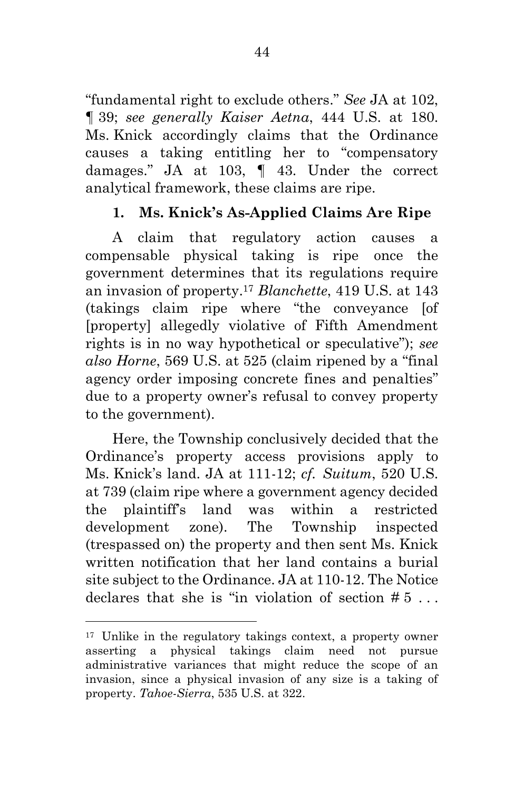"fundamental right to exclude others." *See* JA at 102, ¶ 39; *see generally Kaiser Aetna*, 444 U.S. at 180. Ms. Knick accordingly claims that the Ordinance causes a taking entitling her to "compensatory damages." JA at 103, ¶ 43. Under the correct analytical framework, these claims are ripe.

# **1. Ms. Knick's As-Applied Claims Are Ripe**

 A claim that regulatory action causes a compensable physical taking is ripe once the government determines that its regulations require an invasion of property.<sup>17</sup> *Blanchette*, 419 U.S. at 143 (takings claim ripe where "the conveyance [of [property] allegedly violative of Fifth Amendment rights is in no way hypothetical or speculative"); *see also Horne*, 569 U.S. at 525 (claim ripened by a "final agency order imposing concrete fines and penalties" due to a property owner's refusal to convey property to the government).

 Here, the Township conclusively decided that the Ordinance's property access provisions apply to Ms. Knick's land. JA at 111-12; *cf. Suitum*, 520 U.S. at 739 (claim ripe where a government agency decided the plaintiff's land was within a restricted development zone). The Township inspected (trespassed on) the property and then sent Ms. Knick written notification that her land contains a burial site subject to the Ordinance. JA at 110-12. The Notice declares that she is "in violation of section  $# 5...$ 

<sup>17</sup> Unlike in the regulatory takings context, a property owner asserting a physical takings claim need not pursue administrative variances that might reduce the scope of an invasion, since a physical invasion of any size is a taking of property. *Tahoe-Sierra*, 535 U.S. at 322.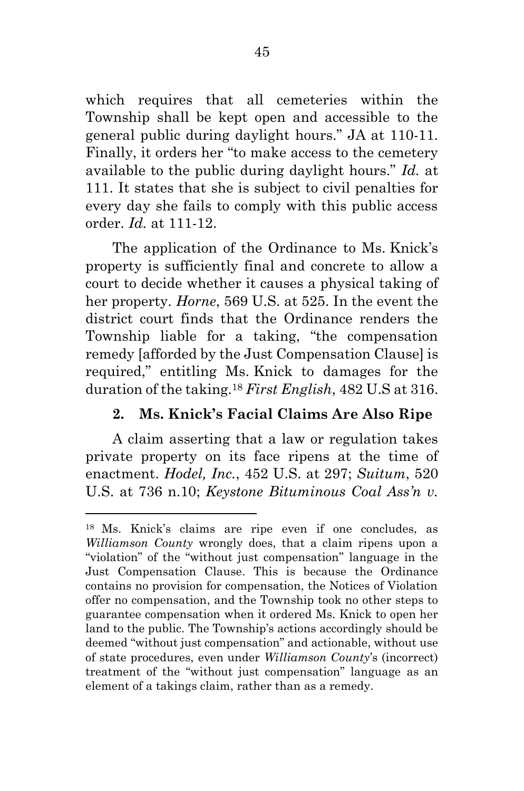which requires that all cemeteries within the Township shall be kept open and accessible to the general public during daylight hours." JA at 110-11. Finally, it orders her "to make access to the cemetery available to the public during daylight hours." *Id.* at 111. It states that she is subject to civil penalties for every day she fails to comply with this public access order. *Id.* at 111-12.

 The application of the Ordinance to Ms. Knick's property is sufficiently final and concrete to allow a court to decide whether it causes a physical taking of her property. *Horne*, 569 U.S. at 525. In the event the district court finds that the Ordinance renders the Township liable for a taking, "the compensation remedy [afforded by the Just Compensation Clause] is required," entitling Ms. Knick to damages for the duration of the taking.<sup>18</sup> *First English*, 482 U.S at 316.

### **2. Ms. Knick's Facial Claims Are Also Ripe**

A claim asserting that a law or regulation takes private property on its face ripens at the time of enactment. *Hodel, Inc.*, 452 U.S. at 297; *Suitum*, 520 U.S. at 736 n.10; *Keystone Bituminous Coal Ass'n v.* 

<sup>18</sup> Ms. Knick's claims are ripe even if one concludes, as *Williamson County* wrongly does, that a claim ripens upon a "violation" of the "without just compensation" language in the Just Compensation Clause. This is because the Ordinance contains no provision for compensation, the Notices of Violation offer no compensation, and the Township took no other steps to guarantee compensation when it ordered Ms. Knick to open her land to the public. The Township's actions accordingly should be deemed "without just compensation" and actionable, without use of state procedures, even under *Williamson County*'s (incorrect) treatment of the "without just compensation" language as an element of a takings claim, rather than as a remedy.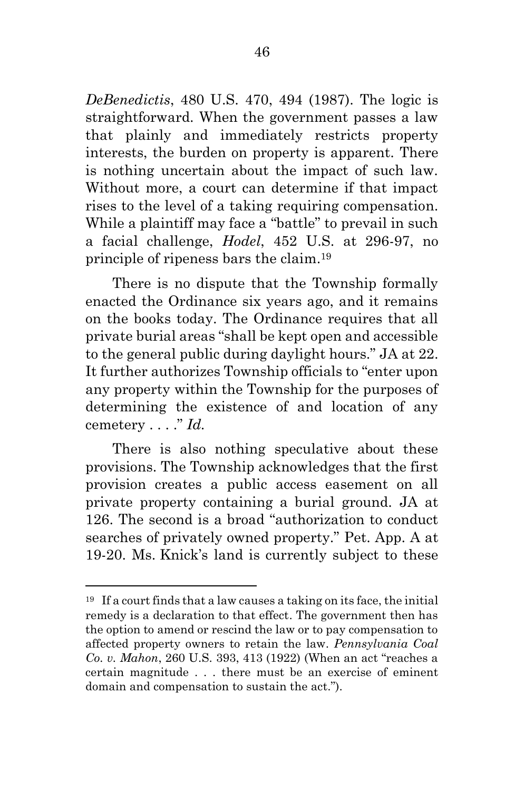*DeBenedictis*, 480 U.S. 470, 494 (1987). The logic is straightforward. When the government passes a law that plainly and immediately restricts property interests, the burden on property is apparent. There is nothing uncertain about the impact of such law. Without more, a court can determine if that impact rises to the level of a taking requiring compensation. While a plaintiff may face a "battle" to prevail in such a facial challenge, *Hodel*, 452 U.S. at 296-97, no principle of ripeness bars the claim.<sup>19</sup>

 There is no dispute that the Township formally enacted the Ordinance six years ago, and it remains on the books today. The Ordinance requires that all private burial areas "shall be kept open and accessible to the general public during daylight hours." JA at 22. It further authorizes Township officials to "enter upon any property within the Township for the purposes of determining the existence of and location of any cemetery . . . ." *Id.*

There is also nothing speculative about these provisions. The Township acknowledges that the first provision creates a public access easement on all private property containing a burial ground. JA at 126. The second is a broad "authorization to conduct searches of privately owned property." Pet. App. A at 19-20. Ms. Knick's land is currently subject to these

 $19$  If a court finds that a law causes a taking on its face, the initial remedy is a declaration to that effect. The government then has the option to amend or rescind the law or to pay compensation to affected property owners to retain the law. *Pennsylvania Coal Co. v. Mahon*, 260 U.S. 393, 413 (1922) (When an act "reaches a certain magnitude . . . there must be an exercise of eminent domain and compensation to sustain the act.").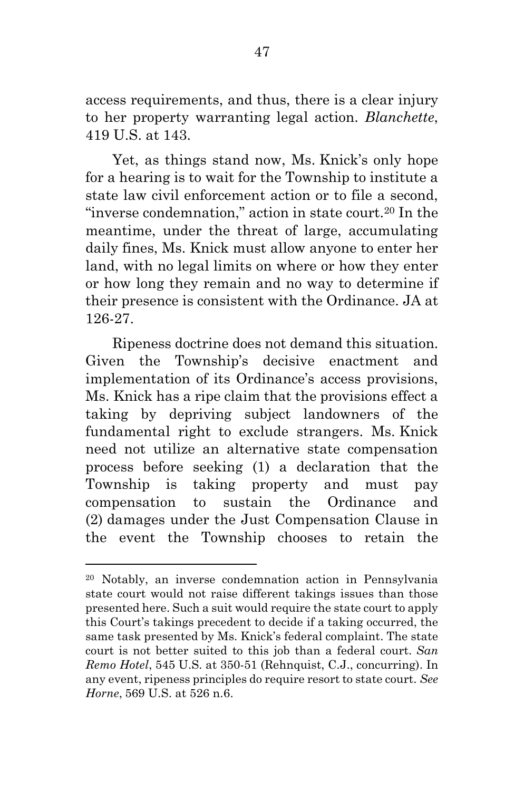access requirements, and thus, there is a clear injury to her property warranting legal action. *Blanchette*, 419 U.S. at 143.

 Yet, as things stand now, Ms. Knick's only hope for a hearing is to wait for the Township to institute a state law civil enforcement action or to file a second, "inverse condemnation," action in state court.<sup>20</sup> In the meantime, under the threat of large, accumulating daily fines, Ms. Knick must allow anyone to enter her land, with no legal limits on where or how they enter or how long they remain and no way to determine if their presence is consistent with the Ordinance. JA at 126-27.

 Ripeness doctrine does not demand this situation. Given the Township's decisive enactment and implementation of its Ordinance's access provisions, Ms. Knick has a ripe claim that the provisions effect a taking by depriving subject landowners of the fundamental right to exclude strangers. Ms. Knick need not utilize an alternative state compensation process before seeking (1) a declaration that the Township is taking property and must pay compensation to sustain the Ordinance and (2) damages under the Just Compensation Clause in the event the Township chooses to retain the

<sup>20</sup> Notably, an inverse condemnation action in Pennsylvania state court would not raise different takings issues than those presented here. Such a suit would require the state court to apply this Court's takings precedent to decide if a taking occurred, the same task presented by Ms. Knick's federal complaint. The state court is not better suited to this job than a federal court. *San Remo Hotel*, 545 U.S. at 350-51 (Rehnquist, C.J., concurring). In any event, ripeness principles do require resort to state court. *See Horne*, 569 U.S. at 526 n.6.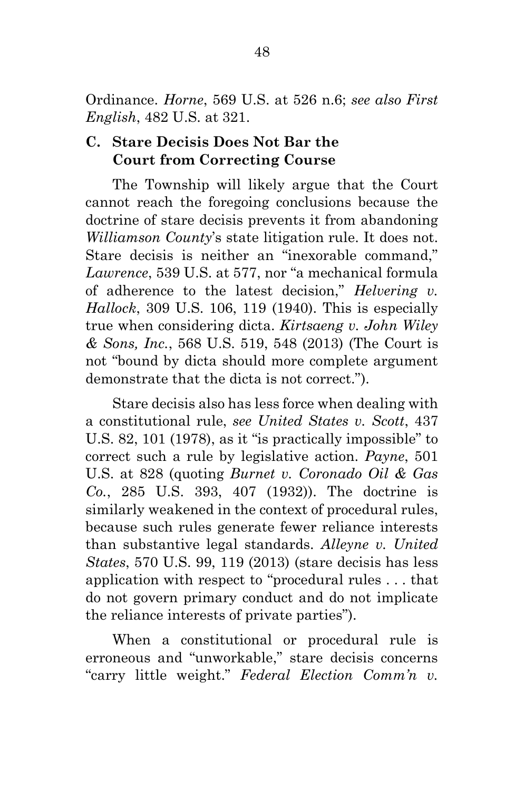Ordinance. *Horne*, 569 U.S. at 526 n.6; *see also First English*, 482 U.S. at 321.

### **C. Stare Decisis Does Not Bar the Court from Correcting Course**

 The Township will likely argue that the Court cannot reach the foregoing conclusions because the doctrine of stare decisis prevents it from abandoning *Williamson County*'s state litigation rule. It does not. Stare decisis is neither an "inexorable command," *Lawrence*, 539 U.S. at 577, nor "a mechanical formula of adherence to the latest decision," *Helvering v. Hallock*, 309 U.S. 106, 119 (1940). This is especially true when considering dicta. *Kirtsaeng v. John Wiley & Sons, Inc.*, 568 U.S. 519, 548 (2013) (The Court is not "bound by dicta should more complete argument demonstrate that the dicta is not correct.").

 Stare decisis also has less force when dealing with a constitutional rule, *see United States v. Scott*, 437 U.S. 82, 101 (1978), as it "is practically impossible" to correct such a rule by legislative action. *Payne*, 501 U.S. at 828 (quoting *Burnet v. Coronado Oil & Gas Co.*, 285 U.S. 393, 407 (1932)). The doctrine is similarly weakened in the context of procedural rules, because such rules generate fewer reliance interests than substantive legal standards. *Alleyne v. United States*, 570 U.S. 99, 119 (2013) (stare decisis has less application with respect to "procedural rules . . . that do not govern primary conduct and do not implicate the reliance interests of private parties").

 When a constitutional or procedural rule is erroneous and "unworkable," stare decisis concerns "carry little weight." *Federal Election Comm'n v.*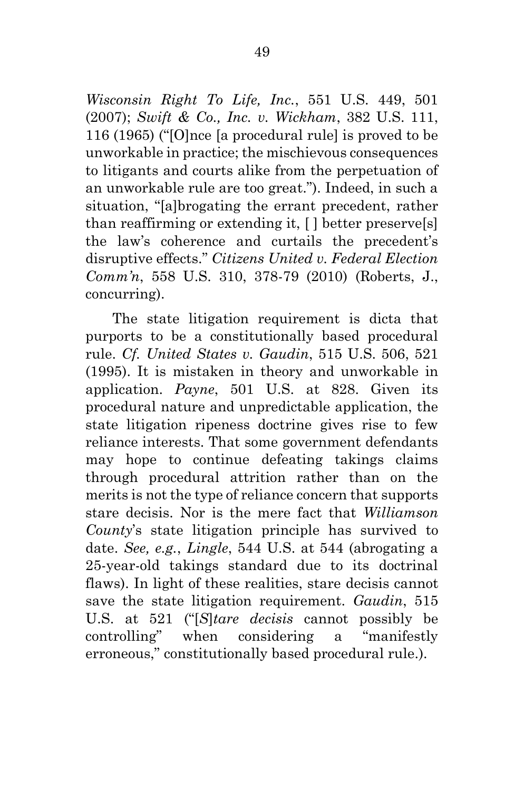*Wisconsin Right To Life, Inc.*, 551 U.S. 449, 501 (2007); *Swift & Co., Inc. v. Wickham*, 382 U.S. 111, 116 (1965) ("[O]nce [a procedural rule] is proved to be unworkable in practice; the mischievous consequences to litigants and courts alike from the perpetuation of an unworkable rule are too great."). Indeed, in such a situation, "[a]brogating the errant precedent, rather than reaffirming or extending it, [ ] better preserve[s] the law's coherence and curtails the precedent's disruptive effects." *Citizens United v. Federal Election Comm'n*, 558 U.S. 310, 378-79 (2010) (Roberts, J., concurring).

 The state litigation requirement is dicta that purports to be a constitutionally based procedural rule. *Cf. United States v. Gaudin*, 515 U.S. 506, 521 (1995). It is mistaken in theory and unworkable in application. *Payne*, 501 U.S. at 828. Given its procedural nature and unpredictable application, the state litigation ripeness doctrine gives rise to few reliance interests. That some government defendants may hope to continue defeating takings claims through procedural attrition rather than on the merits is not the type of reliance concern that supports stare decisis. Nor is the mere fact that *Williamson County*'s state litigation principle has survived to date. *See, e.g.*, *Lingle*, 544 U.S. at 544 (abrogating a 25-year-old takings standard due to its doctrinal flaws). In light of these realities, stare decisis cannot save the state litigation requirement. *Gaudin*, 515 U.S. at 521 ("[*S*]*tare decisis* cannot possibly be controlling" when considering a "manifestly erroneous," constitutionally based procedural rule.).